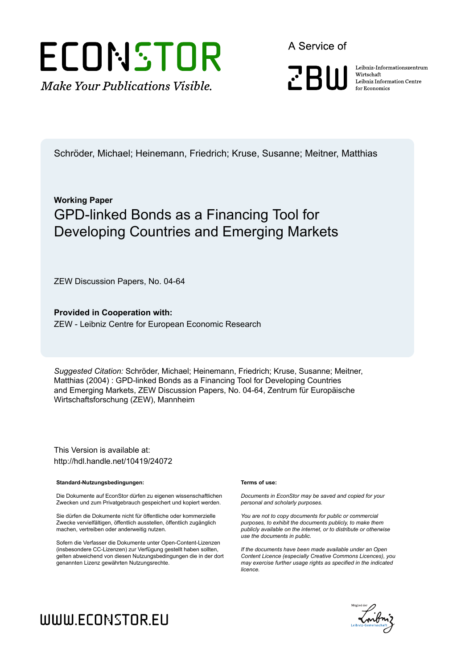

A Service of

**PRIII** 

Leibniz Informationszentrum Wirtschaft Leibniz Information Centre for Economics

Schröder, Michael; Heinemann, Friedrich; Kruse, Susanne; Meitner, Matthias

### **Working Paper** GPD-linked Bonds as a Financing Tool for Developing Countries and Emerging Markets

ZEW Discussion Papers, No. 04-64

**Provided in Cooperation with:** ZEW - Leibniz Centre for European Economic Research

*Suggested Citation:* Schröder, Michael; Heinemann, Friedrich; Kruse, Susanne; Meitner, Matthias (2004) : GPD-linked Bonds as a Financing Tool for Developing Countries and Emerging Markets, ZEW Discussion Papers, No. 04-64, Zentrum für Europäische Wirtschaftsforschung (ZEW), Mannheim

This Version is available at: http://hdl.handle.net/10419/24072

#### **Standard-Nutzungsbedingungen:**

Die Dokumente auf EconStor dürfen zu eigenen wissenschaftlichen Zwecken und zum Privatgebrauch gespeichert und kopiert werden.

Sie dürfen die Dokumente nicht für öffentliche oder kommerzielle Zwecke vervielfältigen, öffentlich ausstellen, öffentlich zugänglich machen, vertreiben oder anderweitig nutzen.

Sofern die Verfasser die Dokumente unter Open-Content-Lizenzen (insbesondere CC-Lizenzen) zur Verfügung gestellt haben sollten, gelten abweichend von diesen Nutzungsbedingungen die in der dort genannten Lizenz gewährten Nutzungsrechte.

#### **Terms of use:**

*Documents in EconStor may be saved and copied for your personal and scholarly purposes.*

*You are not to copy documents for public or commercial purposes, to exhibit the documents publicly, to make them publicly available on the internet, or to distribute or otherwise use the documents in public.*

*If the documents have been made available under an Open Content Licence (especially Creative Commons Licences), you may exercise further usage rights as specified in the indicated licence.*



# WWW.ECONSTOR.EU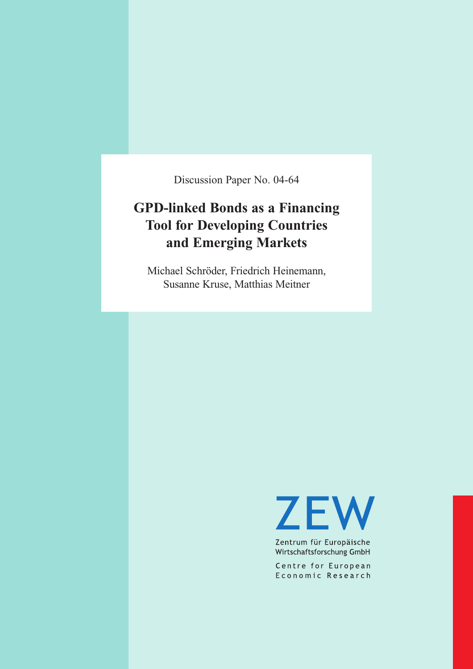Discussion Paper No. 04-64

# **GPD-linked Bonds as a Financing Tool for Developing Countries and Emerging Markets**

Michael Schröder, Friedrich Heinemann, Susanne Kruse, Matthias Meitner

**ZEW** 

Zentrum für Europäische Wirtschaftsforschung GmbH

Centre for European Economic Research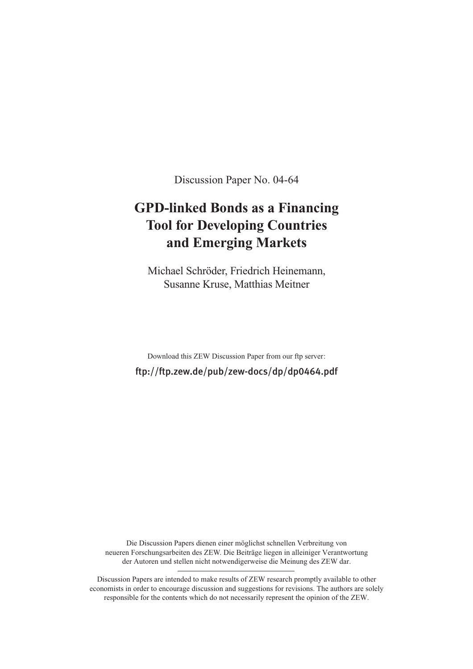Discussion Paper No. 04-64

# **GPD-linked Bonds as a Financing Tool for Developing Countries and Emerging Markets**

Michael Schröder, Friedrich Heinemann, Susanne Kruse, Matthias Meitner

Download this ZEW Discussion Paper from our ftp server: ftp://ftp.zew.de/pub/zew-docs/dp/dp0464.pdf

Die Discussion Papers dienen einer möglichst schnellen Verbreitung von neueren Forschungsarbeiten des ZEW. Die Beiträge liegen in alleiniger Verantwortung der Autoren und stellen nicht notwendigerweise die Meinung des ZEW dar.

Discussion Papers are intended to make results of ZEW research promptly available to other economists in order to encourage discussion and suggestions for revisions. The authors are solely responsible for the contents which do not necessarily represent the opinion of the ZEW.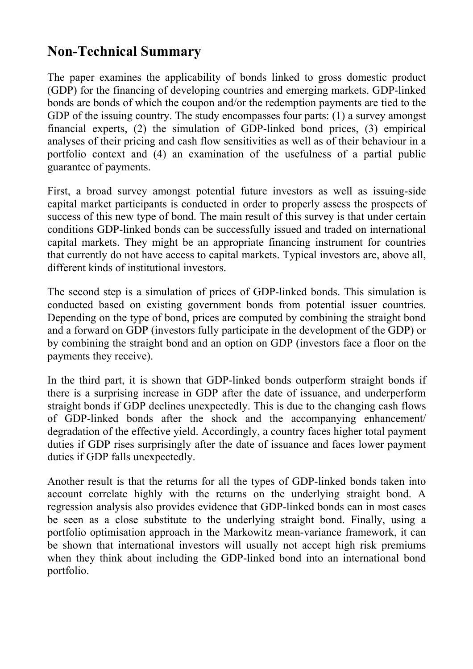# **Non-Technical Summary**

The paper examines the applicability of bonds linked to gross domestic product (GDP) for the financing of developing countries and emerging markets. GDP-linked bonds are bonds of which the coupon and/or the redemption payments are tied to the GDP of the issuing country. The study encompasses four parts: (1) a survey amongst financial experts, (2) the simulation of GDP-linked bond prices, (3) empirical analyses of their pricing and cash flow sensitivities as well as of their behaviour in a portfolio context and (4) an examination of the usefulness of a partial public guarantee of payments.

First, a broad survey amongst potential future investors as well as issuing-side capital market participants is conducted in order to properly assess the prospects of success of this new type of bond. The main result of this survey is that under certain conditions GDP-linked bonds can be successfully issued and traded on international capital markets. They might be an appropriate financing instrument for countries that currently do not have access to capital markets. Typical investors are, above all, different kinds of institutional investors.

The second step is a simulation of prices of GDP-linked bonds. This simulation is conducted based on existing government bonds from potential issuer countries. Depending on the type of bond, prices are computed by combining the straight bond and a forward on GDP (investors fully participate in the development of the GDP) or by combining the straight bond and an option on GDP (investors face a floor on the payments they receive).

In the third part, it is shown that GDP-linked bonds outperform straight bonds if there is a surprising increase in GDP after the date of issuance, and underperform straight bonds if GDP declines unexpectedly. This is due to the changing cash flows of GDP-linked bonds after the shock and the accompanying enhancement/ degradation of the effective yield. Accordingly, a country faces higher total payment duties if GDP rises surprisingly after the date of issuance and faces lower payment duties if GDP falls unexpectedly.

Another result is that the returns for all the types of GDP-linked bonds taken into account correlate highly with the returns on the underlying straight bond. A regression analysis also provides evidence that GDP-linked bonds can in most cases be seen as a close substitute to the underlying straight bond. Finally, using a portfolio optimisation approach in the Markowitz mean-variance framework, it can be shown that international investors will usually not accept high risk premiums when they think about including the GDP-linked bond into an international bond portfolio.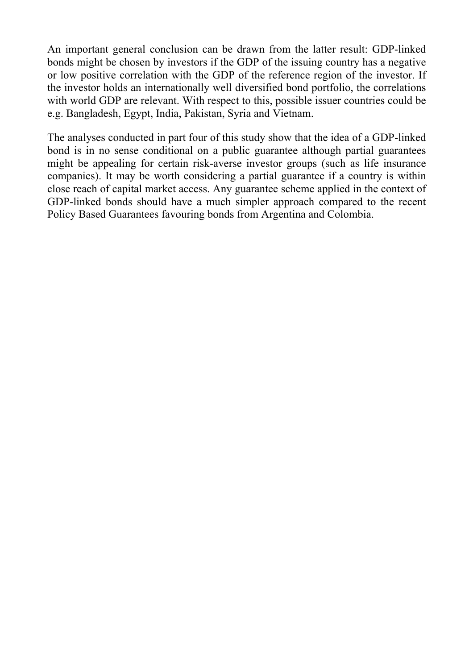An important general conclusion can be drawn from the latter result: GDP-linked bonds might be chosen by investors if the GDP of the issuing country has a negative or low positive correlation with the GDP of the reference region of the investor. If the investor holds an internationally well diversified bond portfolio, the correlations with world GDP are relevant. With respect to this, possible issuer countries could be e.g. Bangladesh, Egypt, India, Pakistan, Syria and Vietnam.

The analyses conducted in part four of this study show that the idea of a GDP-linked bond is in no sense conditional on a public guarantee although partial guarantees might be appealing for certain risk-averse investor groups (such as life insurance companies). It may be worth considering a partial guarantee if a country is within close reach of capital market access. Any guarantee scheme applied in the context of GDP-linked bonds should have a much simpler approach compared to the recent Policy Based Guarantees favouring bonds from Argentina and Colombia.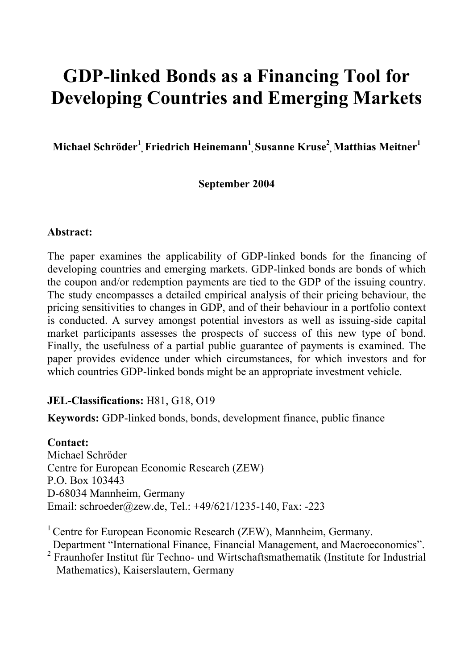# **GDP-linked Bonds as a Financing Tool for Developing Countries and Emerging Markets**

**Michael Schröder<sup>1</sup> , Friedrich Heinemann<sup>1</sup> , Susanne Kruse<sup>2</sup> , Matthias Meitner1**

### **September 2004**

#### **Abstract:**

The paper examines the applicability of GDP-linked bonds for the financing of developing countries and emerging markets. GDP-linked bonds are bonds of which the coupon and/or redemption payments are tied to the GDP of the issuing country. The study encompasses a detailed empirical analysis of their pricing behaviour, the pricing sensitivities to changes in GDP, and of their behaviour in a portfolio context is conducted. A survey amongst potential investors as well as issuing-side capital market participants assesses the prospects of success of this new type of bond. Finally, the usefulness of a partial public guarantee of payments is examined. The paper provides evidence under which circumstances, for which investors and for which countries GDP-linked bonds might be an appropriate investment vehicle.

### **JEL-Classifications:** H81, G18, O19

**Keywords:** GDP-linked bonds, bonds, development finance, public finance

### **Contact:**

Michael Schröder Centre for European Economic Research (ZEW) P.O. Box 103443 D-68034 Mannheim, Germany Email: schroeder@zew.de, Tel.: +49/621/1235-140, Fax: -223

<sup>1</sup> Centre for European Economic Research (ZEW), Mannheim, Germany.

Department "International Finance, Financial Management, and Macroeconomics".

2 Fraunhofer Institut für Techno- und Wirtschaftsmathematik (Institute for Industrial Mathematics), Kaiserslautern, Germany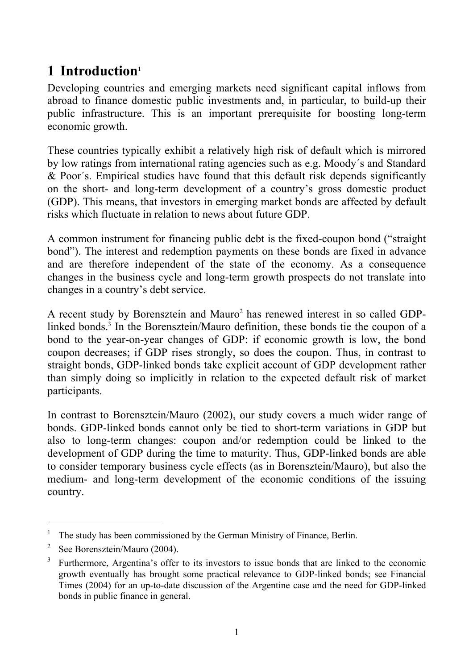# **1 Introduction1**

Developing countries and emerging markets need significant capital inflows from abroad to finance domestic public investments and, in particular, to build-up their public infrastructure. This is an important prerequisite for boosting long-term economic growth.

These countries typically exhibit a relatively high risk of default which is mirrored by low ratings from international rating agencies such as e.g. Moody´s and Standard & Poor´s. Empirical studies have found that this default risk depends significantly on the short- and long-term development of a country's gross domestic product (GDP). This means, that investors in emerging market bonds are affected by default risks which fluctuate in relation to news about future GDP.

A common instrument for financing public debt is the fixed-coupon bond ("straight bond"). The interest and redemption payments on these bonds are fixed in advance and are therefore independent of the state of the economy. As a consequence changes in the business cycle and long-term growth prospects do not translate into changes in a country's debt service.

A recent study by Borensztein and Mauro<sup>2</sup> has renewed interest in so called GDPlinked bonds.<sup>3</sup> In the Borensztein/Mauro definition, these bonds tie the coupon of a bond to the year-on-year changes of GDP: if economic growth is low, the bond coupon decreases; if GDP rises strongly, so does the coupon. Thus, in contrast to straight bonds, GDP-linked bonds take explicit account of GDP development rather than simply doing so implicitly in relation to the expected default risk of market participants.

In contrast to Borensztein/Mauro (2002), our study covers a much wider range of bonds. GDP-linked bonds cannot only be tied to short-term variations in GDP but also to long-term changes: coupon and/or redemption could be linked to the development of GDP during the time to maturity. Thus, GDP-linked bonds are able to consider temporary business cycle effects (as in Borensztein/Mauro), but also the medium- and long-term development of the economic conditions of the issuing country.

 $\overline{a}$ 

<sup>1</sup> The study has been commissioned by the German Ministry of Finance, Berlin.

<sup>2</sup> See Borensztein/Mauro (2004).

<sup>3</sup> Furthermore, Argentina's offer to its investors to issue bonds that are linked to the economic growth eventually has brought some practical relevance to GDP-linked bonds; see Financial Times (2004) for an up-to-date discussion of the Argentine case and the need for GDP-linked bonds in public finance in general.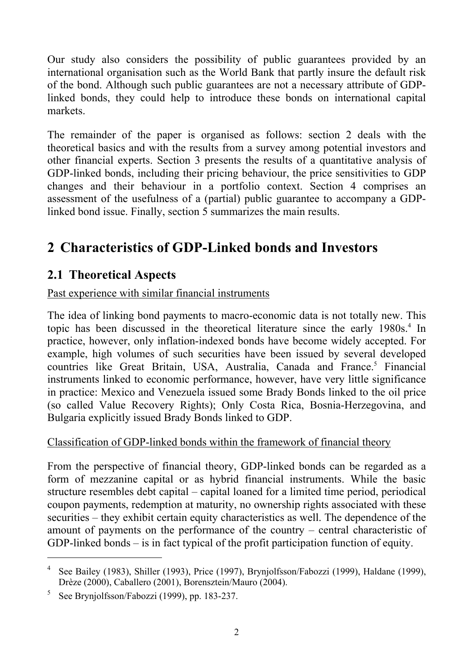Our study also considers the possibility of public guarantees provided by an international organisation such as the World Bank that partly insure the default risk of the bond. Although such public guarantees are not a necessary attribute of GDPlinked bonds, they could help to introduce these bonds on international capital markets.

The remainder of the paper is organised as follows: section 2 deals with the theoretical basics and with the results from a survey among potential investors and other financial experts. Section 3 presents the results of a quantitative analysis of GDP-linked bonds, including their pricing behaviour, the price sensitivities to GDP changes and their behaviour in a portfolio context. Section 4 comprises an assessment of the usefulness of a (partial) public guarantee to accompany a GDPlinked bond issue. Finally, section 5 summarizes the main results.

# **2 Characteristics of GDP-Linked bonds and Investors**

### **2.1 Theoretical Aspects**

Past experience with similar financial instruments

The idea of linking bond payments to macro-economic data is not totally new. This topic has been discussed in the theoretical literature since the early 1980s.<sup>4</sup> In practice, however, only inflation-indexed bonds have become widely accepted. For example, high volumes of such securities have been issued by several developed countries like Great Britain, USA, Australia, Canada and France.<sup>5</sup> Financial instruments linked to economic performance, however, have very little significance in practice: Mexico and Venezuela issued some Brady Bonds linked to the oil price (so called Value Recovery Rights); Only Costa Rica, Bosnia-Herzegovina, and Bulgaria explicitly issued Brady Bonds linked to GDP.

### Classification of GDP-linked bonds within the framework of financial theory

From the perspective of financial theory, GDP-linked bonds can be regarded as a form of mezzanine capital or as hybrid financial instruments. While the basic structure resembles debt capital – capital loaned for a limited time period, periodical coupon payments, redemption at maturity, no ownership rights associated with these securities – they exhibit certain equity characteristics as well. The dependence of the amount of payments on the performance of the country – central characteristic of GDP-linked bonds – is in fact typical of the profit participation function of equity.

 $\overline{a}$ 

<sup>&</sup>lt;sup>4</sup> See Bailey (1983), Shiller (1993), Price (1997), Brynjolfsson/Fabozzi (1999), Haldane (1999), Drèze (2000), Caballero (2001), Borensztein/Mauro (2004).

<sup>&</sup>lt;sup>5</sup> See Brynjolfsson/Fabozzi (1999), pp. 183-237.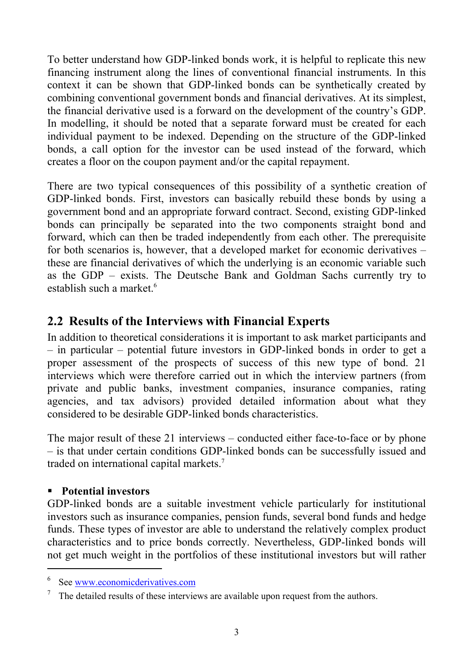To better understand how GDP-linked bonds work, it is helpful to replicate this new financing instrument along the lines of conventional financial instruments. In this context it can be shown that GDP-linked bonds can be synthetically created by combining conventional government bonds and financial derivatives. At its simplest, the financial derivative used is a forward on the development of the country's GDP. In modelling, it should be noted that a separate forward must be created for each individual payment to be indexed. Depending on the structure of the GDP-linked bonds, a call option for the investor can be used instead of the forward, which creates a floor on the coupon payment and/or the capital repayment.

There are two typical consequences of this possibility of a synthetic creation of GDP-linked bonds. First, investors can basically rebuild these bonds by using a government bond and an appropriate forward contract. Second, existing GDP-linked bonds can principally be separated into the two components straight bond and forward, which can then be traded independently from each other. The prerequisite for both scenarios is, however, that a developed market for economic derivatives – these are financial derivatives of which the underlying is an economic variable such as the GDP – exists. The Deutsche Bank and Goldman Sachs currently try to establish such a market  $^6$ 

### **2.2 Results of the Interviews with Financial Experts**

In addition to theoretical considerations it is important to ask market participants and – in particular – potential future investors in GDP-linked bonds in order to get a proper assessment of the prospects of success of this new type of bond. 21 interviews which were therefore carried out in which the interview partners (from private and public banks, investment companies, insurance companies, rating agencies, and tax advisors) provided detailed information about what they considered to be desirable GDP-linked bonds characteristics.

The major result of these 21 interviews – conducted either face-to-face or by phone – is that under certain conditions GDP-linked bonds can be successfully issued and traded on international capital markets.7

### **Potential investors**

 $\overline{a}$ 

GDP-linked bonds are a suitable investment vehicle particularly for institutional investors such as insurance companies, pension funds, several bond funds and hedge funds. These types of investor are able to understand the relatively complex product characteristics and to price bonds correctly. Nevertheless, GDP-linked bonds will not get much weight in the portfolios of these institutional investors but will rather

<sup>6</sup>  $^6$  See <u>www.economicderivatives.com</u><br><sup>7</sup> The datailed results of these interview

The detailed results of these interviews are available upon request from the authors.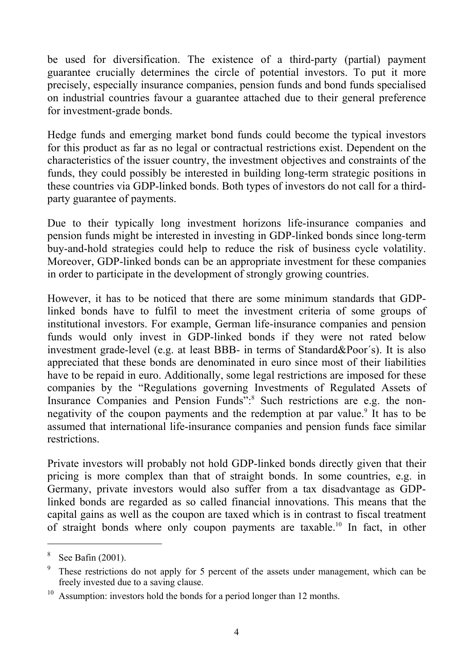be used for diversification. The existence of a third-party (partial) payment guarantee crucially determines the circle of potential investors. To put it more precisely, especially insurance companies, pension funds and bond funds specialised on industrial countries favour a guarantee attached due to their general preference for investment-grade bonds.

Hedge funds and emerging market bond funds could become the typical investors for this product as far as no legal or contractual restrictions exist. Dependent on the characteristics of the issuer country, the investment objectives and constraints of the funds, they could possibly be interested in building long-term strategic positions in these countries via GDP-linked bonds. Both types of investors do not call for a thirdparty guarantee of payments.

Due to their typically long investment horizons life-insurance companies and pension funds might be interested in investing in GDP-linked bonds since long-term buy-and-hold strategies could help to reduce the risk of business cycle volatility. Moreover, GDP-linked bonds can be an appropriate investment for these companies in order to participate in the development of strongly growing countries.

However, it has to be noticed that there are some minimum standards that GDPlinked bonds have to fulfil to meet the investment criteria of some groups of institutional investors. For example, German life-insurance companies and pension funds would only invest in GDP-linked bonds if they were not rated below investment grade-level (e.g. at least BBB- in terms of Standard&Poor´s). It is also appreciated that these bonds are denominated in euro since most of their liabilities have to be repaid in euro. Additionally, some legal restrictions are imposed for these companies by the "Regulations governing Investments of Regulated Assets of Insurance Companies and Pension Funds":<sup>8</sup> Such restrictions are e.g. the nonnegativity of the coupon payments and the redemption at par value.<sup>9</sup> It has to be assumed that international life-insurance companies and pension funds face similar restrictions.

Private investors will probably not hold GDP-linked bonds directly given that their pricing is more complex than that of straight bonds. In some countries, e.g. in Germany, private investors would also suffer from a tax disadvantage as GDPlinked bonds are regarded as so called financial innovations. This means that the capital gains as well as the coupon are taxed which is in contrast to fiscal treatment of straight bonds where only coupon payments are taxable.10 In fact, in other

l

<sup>8</sup> See Bafin (2001).

<sup>&</sup>lt;sup>9</sup> These restrictions do not apply for 5 percent of the assets under management, which can be freely invested due to a saving clause.

<sup>&</sup>lt;sup>10</sup> Assumption: investors hold the bonds for a period longer than 12 months.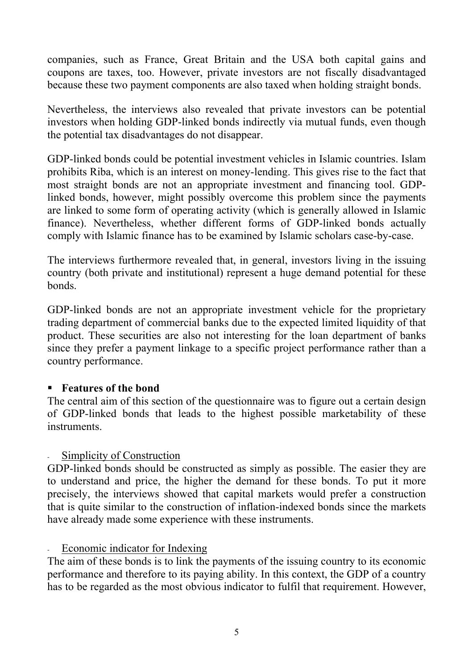companies, such as France, Great Britain and the USA both capital gains and coupons are taxes, too. However, private investors are not fiscally disadvantaged because these two payment components are also taxed when holding straight bonds.

Nevertheless, the interviews also revealed that private investors can be potential investors when holding GDP-linked bonds indirectly via mutual funds, even though the potential tax disadvantages do not disappear.

GDP-linked bonds could be potential investment vehicles in Islamic countries. Islam prohibits Riba, which is an interest on money-lending. This gives rise to the fact that most straight bonds are not an appropriate investment and financing tool. GDPlinked bonds, however, might possibly overcome this problem since the payments are linked to some form of operating activity (which is generally allowed in Islamic finance). Nevertheless, whether different forms of GDP-linked bonds actually comply with Islamic finance has to be examined by Islamic scholars case-by-case.

The interviews furthermore revealed that, in general, investors living in the issuing country (both private and institutional) represent a huge demand potential for these bonds.

GDP-linked bonds are not an appropriate investment vehicle for the proprietary trading department of commercial banks due to the expected limited liquidity of that product. These securities are also not interesting for the loan department of banks since they prefer a payment linkage to a specific project performance rather than a country performance.

#### **Features of the bond**

The central aim of this section of the questionnaire was to figure out a certain design of GDP-linked bonds that leads to the highest possible marketability of these instruments.

### - Simplicity of Construction

GDP-linked bonds should be constructed as simply as possible. The easier they are to understand and price, the higher the demand for these bonds. To put it more precisely, the interviews showed that capital markets would prefer a construction that is quite similar to the construction of inflation-indexed bonds since the markets have already made some experience with these instruments.

### - Economic indicator for Indexing

The aim of these bonds is to link the payments of the issuing country to its economic performance and therefore to its paying ability. In this context, the GDP of a country has to be regarded as the most obvious indicator to fulfil that requirement. However,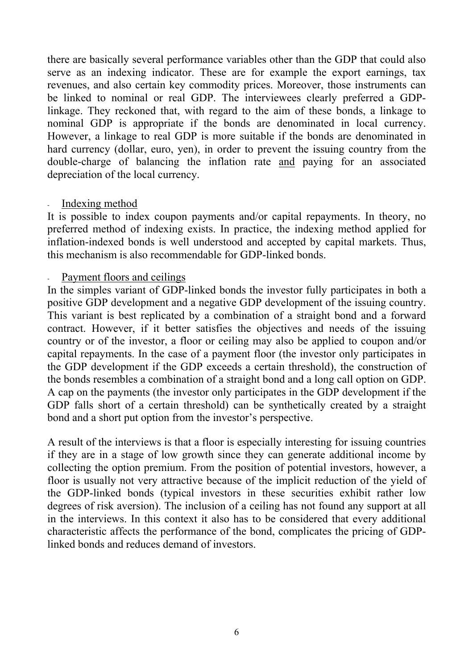there are basically several performance variables other than the GDP that could also serve as an indexing indicator. These are for example the export earnings, tax revenues, and also certain key commodity prices. Moreover, those instruments can be linked to nominal or real GDP. The interviewees clearly preferred a GDPlinkage. They reckoned that, with regard to the aim of these bonds, a linkage to nominal GDP is appropriate if the bonds are denominated in local currency. However, a linkage to real GDP is more suitable if the bonds are denominated in hard currency (dollar, euro, yen), in order to prevent the issuing country from the double-charge of balancing the inflation rate and paying for an associated depreciation of the local currency.

#### Indexing method

It is possible to index coupon payments and/or capital repayments. In theory, no preferred method of indexing exists. In practice, the indexing method applied for inflation-indexed bonds is well understood and accepted by capital markets. Thus, this mechanism is also recommendable for GDP-linked bonds.

#### Payment floors and ceilings

In the simples variant of GDP-linked bonds the investor fully participates in both a positive GDP development and a negative GDP development of the issuing country. This variant is best replicated by a combination of a straight bond and a forward contract. However, if it better satisfies the objectives and needs of the issuing country or of the investor, a floor or ceiling may also be applied to coupon and/or capital repayments. In the case of a payment floor (the investor only participates in the GDP development if the GDP exceeds a certain threshold), the construction of the bonds resembles a combination of a straight bond and a long call option on GDP. A cap on the payments (the investor only participates in the GDP development if the GDP falls short of a certain threshold) can be synthetically created by a straight bond and a short put option from the investor's perspective.

A result of the interviews is that a floor is especially interesting for issuing countries if they are in a stage of low growth since they can generate additional income by collecting the option premium. From the position of potential investors, however, a floor is usually not very attractive because of the implicit reduction of the yield of the GDP-linked bonds (typical investors in these securities exhibit rather low degrees of risk aversion). The inclusion of a ceiling has not found any support at all in the interviews. In this context it also has to be considered that every additional characteristic affects the performance of the bond, complicates the pricing of GDPlinked bonds and reduces demand of investors.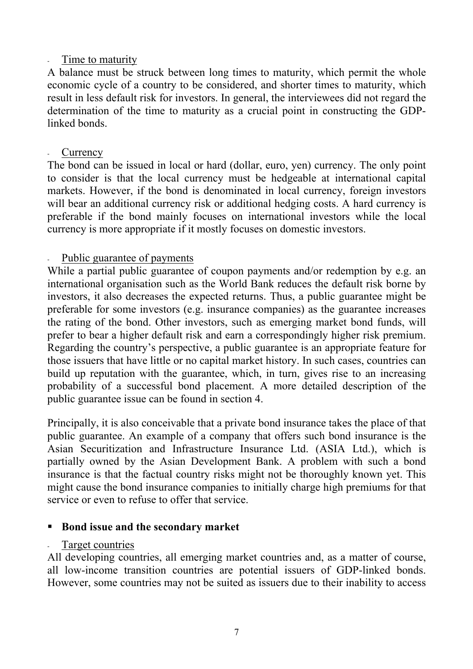#### Time to maturity

A balance must be struck between long times to maturity, which permit the whole economic cycle of a country to be considered, and shorter times to maturity, which result in less default risk for investors. In general, the interviewees did not regard the determination of the time to maturity as a crucial point in constructing the GDPlinked bonds.

#### **Currency**

The bond can be issued in local or hard (dollar, euro, yen) currency. The only point to consider is that the local currency must be hedgeable at international capital markets. However, if the bond is denominated in local currency, foreign investors will bear an additional currency risk or additional hedging costs. A hard currency is preferable if the bond mainly focuses on international investors while the local currency is more appropriate if it mostly focuses on domestic investors.

#### Public guarantee of payments

While a partial public guarantee of coupon payments and/or redemption by e.g. an international organisation such as the World Bank reduces the default risk borne by investors, it also decreases the expected returns. Thus, a public guarantee might be preferable for some investors (e.g. insurance companies) as the guarantee increases the rating of the bond. Other investors, such as emerging market bond funds, will prefer to bear a higher default risk and earn a correspondingly higher risk premium. Regarding the country's perspective, a public guarantee is an appropriate feature for those issuers that have little or no capital market history. In such cases, countries can build up reputation with the guarantee, which, in turn, gives rise to an increasing probability of a successful bond placement. A more detailed description of the public guarantee issue can be found in section 4.

Principally, it is also conceivable that a private bond insurance takes the place of that public guarantee. An example of a company that offers such bond insurance is the Asian Securitization and Infrastructure Insurance Ltd. (ASIA Ltd.), which is partially owned by the Asian Development Bank. A problem with such a bond insurance is that the factual country risks might not be thoroughly known yet. This might cause the bond insurance companies to initially charge high premiums for that service or even to refuse to offer that service.

### **Bond issue and the secondary market**

### Target countries

All developing countries, all emerging market countries and, as a matter of course, all low-income transition countries are potential issuers of GDP-linked bonds. However, some countries may not be suited as issuers due to their inability to access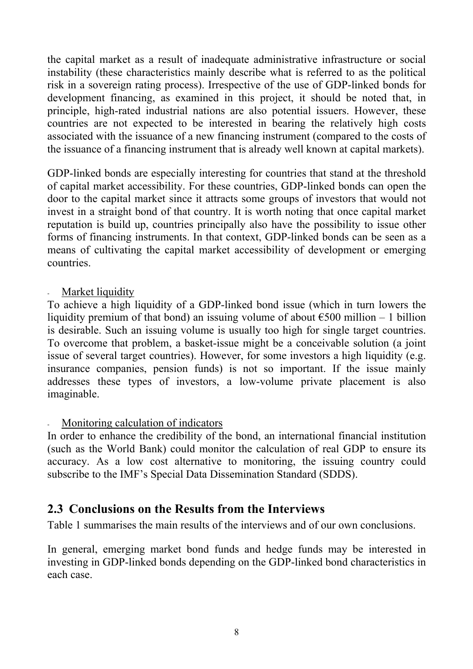the capital market as a result of inadequate administrative infrastructure or social instability (these characteristics mainly describe what is referred to as the political risk in a sovereign rating process). Irrespective of the use of GDP-linked bonds for development financing, as examined in this project, it should be noted that, in principle, high-rated industrial nations are also potential issuers. However, these countries are not expected to be interested in bearing the relatively high costs associated with the issuance of a new financing instrument (compared to the costs of the issuance of a financing instrument that is already well known at capital markets).

GDP-linked bonds are especially interesting for countries that stand at the threshold of capital market accessibility. For these countries, GDP-linked bonds can open the door to the capital market since it attracts some groups of investors that would not invest in a straight bond of that country. It is worth noting that once capital market reputation is build up, countries principally also have the possibility to issue other forms of financing instruments. In that context, GDP-linked bonds can be seen as a means of cultivating the capital market accessibility of development or emerging countries.

#### Market liquidity

To achieve a high liquidity of a GDP-linked bond issue (which in turn lowers the liquidity premium of that bond) an issuing volume of about  $\epsilon$ 500 million – 1 billion is desirable. Such an issuing volume is usually too high for single target countries. To overcome that problem, a basket-issue might be a conceivable solution (a joint issue of several target countries). However, for some investors a high liquidity (e.g. insurance companies, pension funds) is not so important. If the issue mainly addresses these types of investors, a low-volume private placement is also imaginable.

#### - Monitoring calculation of indicators

In order to enhance the credibility of the bond, an international financial institution (such as the World Bank) could monitor the calculation of real GDP to ensure its accuracy. As a low cost alternative to monitoring, the issuing country could subscribe to the IMF's Special Data Dissemination Standard (SDDS).

### **2.3 Conclusions on the Results from the Interviews**

Table 1 summarises the main results of the interviews and of our own conclusions.

In general, emerging market bond funds and hedge funds may be interested in investing in GDP-linked bonds depending on the GDP-linked bond characteristics in each case.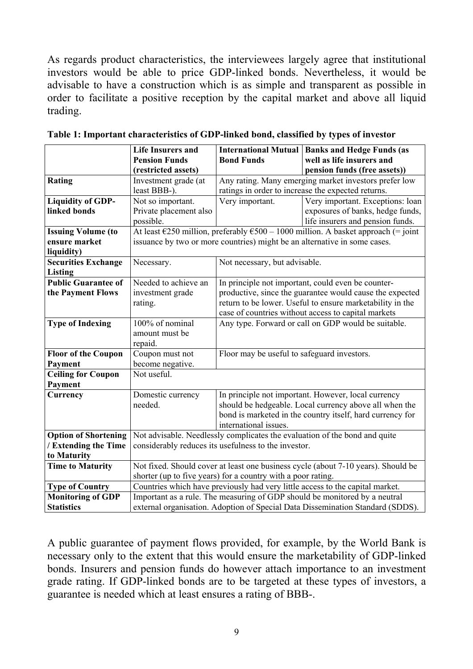As regards product characteristics, the interviewees largely agree that institutional investors would be able to price GDP-linked bonds. Nevertheless, it would be advisable to have a construction which is as simple and transparent as possible in order to facilitate a positive reception by the capital market and above all liquid trading.

|                             | <b>Life Insurers and</b>                                     |                                                                                                       | <b>International Mutual   Banks and Hedge Funds (as</b>                           |  |  |
|-----------------------------|--------------------------------------------------------------|-------------------------------------------------------------------------------------------------------|-----------------------------------------------------------------------------------|--|--|
|                             | <b>Pension Funds</b>                                         | <b>Bond Funds</b>                                                                                     | well as life insurers and                                                         |  |  |
|                             | (restricted assets)                                          |                                                                                                       | pension funds (free assets))                                                      |  |  |
| Rating                      | Investment grade (at                                         |                                                                                                       | Any rating. Many emerging market investors prefer low                             |  |  |
|                             | least BBB-).                                                 |                                                                                                       | ratings in order to increase the expected returns.                                |  |  |
| <b>Liquidity of GDP-</b>    | Not so important.                                            | Very important.                                                                                       | Very important. Exceptions: loan                                                  |  |  |
| linked bonds                | Private placement also                                       |                                                                                                       | exposures of banks, hedge funds,                                                  |  |  |
|                             | possible.                                                    |                                                                                                       | life insurers and pension funds.                                                  |  |  |
| <b>Issuing Volume (to</b>   |                                                              | At least $\epsilon$ 250 million, preferably $\epsilon$ 500 – 1000 million. A basket approach (= joint |                                                                                   |  |  |
| ensure market               |                                                              |                                                                                                       | issuance by two or more countries) might be an alternative in some cases.         |  |  |
| liquidity)                  |                                                              |                                                                                                       |                                                                                   |  |  |
| <b>Securities Exchange</b>  | Necessary.                                                   | Not necessary, but advisable.                                                                         |                                                                                   |  |  |
| <b>Listing</b>              |                                                              |                                                                                                       |                                                                                   |  |  |
| <b>Public Guarantee of</b>  | Needed to achieve an                                         | In principle not important, could even be counter-                                                    |                                                                                   |  |  |
| the Payment Flows           | investment grade                                             | productive, since the guarantee would cause the expected                                              |                                                                                   |  |  |
|                             | rating.                                                      | return to be lower. Useful to ensure marketability in the                                             |                                                                                   |  |  |
|                             |                                                              | case of countries without access to capital markets                                                   |                                                                                   |  |  |
| <b>Type of Indexing</b>     | 100% of nominal                                              |                                                                                                       | Any type. Forward or call on GDP would be suitable.                               |  |  |
|                             | amount must be                                               |                                                                                                       |                                                                                   |  |  |
|                             | repaid.                                                      |                                                                                                       |                                                                                   |  |  |
| <b>Floor of the Coupon</b>  | Coupon must not                                              | Floor may be useful to safeguard investors.                                                           |                                                                                   |  |  |
| Payment                     | become negative.                                             |                                                                                                       |                                                                                   |  |  |
| <b>Ceiling for Coupon</b>   | Not useful.                                                  |                                                                                                       |                                                                                   |  |  |
| Payment                     |                                                              |                                                                                                       |                                                                                   |  |  |
| Currency                    | Domestic currency                                            |                                                                                                       | In principle not important. However, local currency                               |  |  |
|                             | needed.                                                      |                                                                                                       | should be hedgeable. Local currency above all when the                            |  |  |
|                             |                                                              |                                                                                                       | bond is marketed in the country itself, hard currency for                         |  |  |
|                             |                                                              | international issues.                                                                                 |                                                                                   |  |  |
| <b>Option of Shortening</b> |                                                              |                                                                                                       | Not advisable. Needlessly complicates the evaluation of the bond and quite        |  |  |
| / Extending the Time        |                                                              | considerably reduces its usefulness to the investor.                                                  |                                                                                   |  |  |
| to Maturity                 |                                                              |                                                                                                       |                                                                                   |  |  |
| <b>Time to Maturity</b>     |                                                              |                                                                                                       | Not fixed. Should cover at least one business cycle (about 7-10 years). Should be |  |  |
|                             | shorter (up to five years) for a country with a poor rating. |                                                                                                       |                                                                                   |  |  |
| <b>Type of Country</b>      |                                                              |                                                                                                       | Countries which have previously had very little access to the capital market.     |  |  |
| <b>Monitoring of GDP</b>    |                                                              |                                                                                                       | Important as a rule. The measuring of GDP should be monitored by a neutral        |  |  |
| <b>Statistics</b>           |                                                              |                                                                                                       | external organisation. Adoption of Special Data Dissemination Standard (SDDS).    |  |  |

**Table 1: Important characteristics of GDP-linked bond, classified by types of investor** 

A public guarantee of payment flows provided, for example, by the World Bank is necessary only to the extent that this would ensure the marketability of GDP-linked bonds. Insurers and pension funds do however attach importance to an investment grade rating. If GDP-linked bonds are to be targeted at these types of investors, a guarantee is needed which at least ensures a rating of BBB-.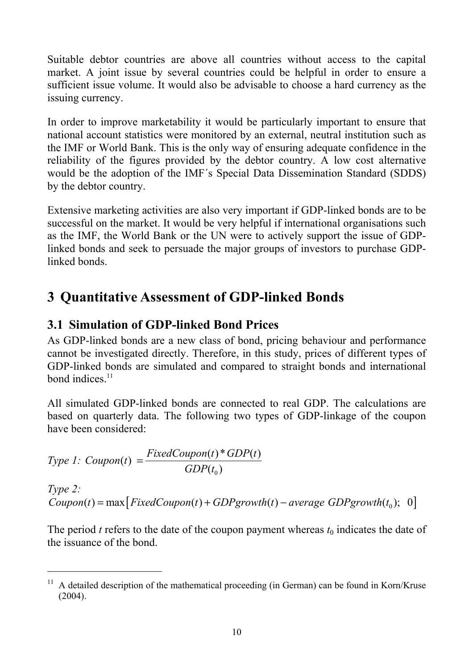Suitable debtor countries are above all countries without access to the capital market. A joint issue by several countries could be helpful in order to ensure a sufficient issue volume. It would also be advisable to choose a hard currency as the issuing currency.

In order to improve marketability it would be particularly important to ensure that national account statistics were monitored by an external, neutral institution such as the IMF or World Bank. This is the only way of ensuring adequate confidence in the reliability of the figures provided by the debtor country. A low cost alternative would be the adoption of the IMF´s Special Data Dissemination Standard (SDDS) by the debtor country.

Extensive marketing activities are also very important if GDP-linked bonds are to be successful on the market. It would be very helpful if international organisations such as the IMF, the World Bank or the UN were to actively support the issue of GDPlinked bonds and seek to persuade the major groups of investors to purchase GDPlinked bonds.

# **3 Quantitative Assessment of GDP-linked Bonds**

### **3.1 Simulation of GDP-linked Bond Prices**

As GDP-linked bonds are a new class of bond, pricing behaviour and performance cannot be investigated directly. Therefore, in this study, prices of different types of GDP-linked bonds are simulated and compared to straight bonds and international bond indices $11$ 

All simulated GDP-linked bonds are connected to real GDP. The calculations are based on quarterly data. The following two types of GDP-linkage of the coupon have been considered:

*Type 1: Coupon(t)* = 
$$
\frac{FixedCoupon(t) * GDP(t)}{GDP(t_0)}
$$

l

*Type 2:*   $Coupon(t) = max [FixedCoupon(t) + GDPgrowth(t) - average GDPgrowth(t_0); 0]$ 

The period *t* refers to the date of the coupon payment whereas  $t_0$  indicates the date of the issuance of the bond.

<sup>&</sup>lt;sup>11</sup> A detailed description of the mathematical proceeding (in German) can be found in Korn/Kruse  $(2004)$ .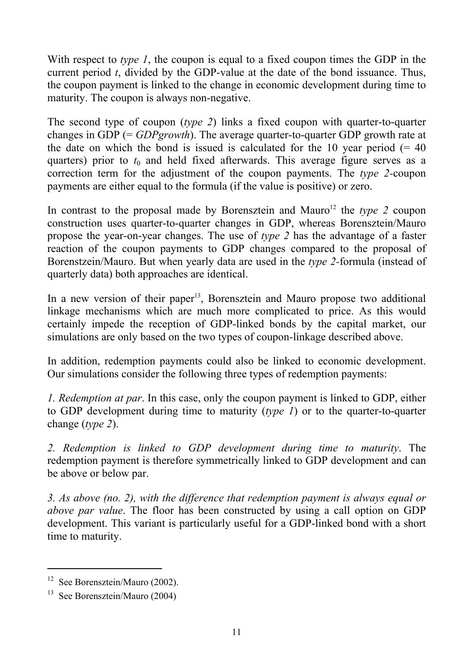With respect to *type 1*, the coupon is equal to a fixed coupon times the GDP in the current period *t*, divided by the GDP-value at the date of the bond issuance. Thus, the coupon payment is linked to the change in economic development during time to maturity. The coupon is always non-negative.

The second type of coupon (*type 2*) links a fixed coupon with quarter-to-quarter changes in GDP (= *GDPgrowth*). The average quarter-to-quarter GDP growth rate at the date on which the bond is issued is calculated for the 10 year period  $(= 40)$ quarters) prior to  $t_0$  and held fixed afterwards. This average figure serves as a correction term for the adjustment of the coupon payments. The *type 2-*coupon payments are either equal to the formula (if the value is positive) or zero.

In contrast to the proposal made by Borensztein and Mauro<sup>12</sup> the *type 2* coupon construction uses quarter-to-quarter changes in GDP, whereas Borensztein/Mauro propose the year-on-year changes. The use of *type 2* has the advantage of a faster reaction of the coupon payments to GDP changes compared to the proposal of Borenstzein/Mauro. But when yearly data are used in the *type 2-*formula (instead of quarterly data) both approaches are identical.

In a new version of their paper<sup>13</sup>, Borensztein and Mauro propose two additional linkage mechanisms which are much more complicated to price. As this would certainly impede the reception of GDP-linked bonds by the capital market, our simulations are only based on the two types of coupon-linkage described above.

In addition, redemption payments could also be linked to economic development. Our simulations consider the following three types of redemption payments:

*1. Redemption at par*. In this case, only the coupon payment is linked to GDP, either to GDP development during time to maturity (*type 1*) or to the quarter-to-quarter change (*type 2*).

*2. Redemption is linked to GDP development during time to maturity*. The redemption payment is therefore symmetrically linked to GDP development and can be above or below par.

*3. As above (no. 2), with the difference that redemption payment is always equal or above par value*. The floor has been constructed by using a call option on GDP development. This variant is particularly useful for a GDP-linked bond with a short time to maturity.

 $\overline{a}$ 

<sup>&</sup>lt;sup>12</sup> See Borensztein/Mauro (2002).

 $13$  See Borensztein/Mauro (2004)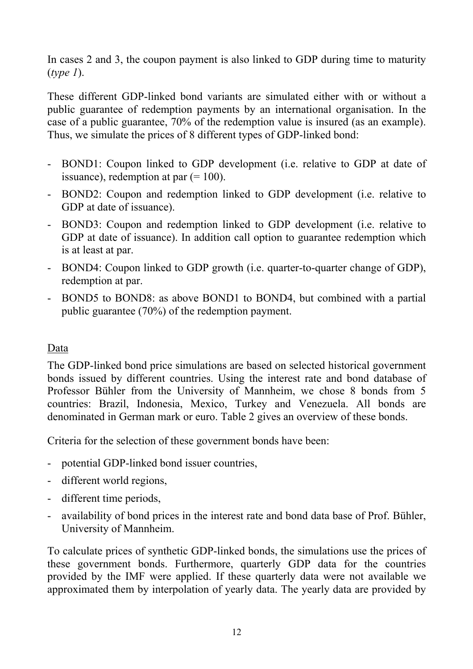In cases 2 and 3, the coupon payment is also linked to GDP during time to maturity (*type 1*).

These different GDP-linked bond variants are simulated either with or without a public guarantee of redemption payments by an international organisation. In the case of a public guarantee, 70% of the redemption value is insured (as an example). Thus, we simulate the prices of 8 different types of GDP-linked bond:

- BOND1: Coupon linked to GDP development (i.e. relative to GDP at date of issuance), redemption at par  $(=100)$ .
- BOND2: Coupon and redemption linked to GDP development (i.e. relative to GDP at date of issuance).
- BOND3: Coupon and redemption linked to GDP development (i.e. relative to GDP at date of issuance). In addition call option to guarantee redemption which is at least at par.
- BOND4: Coupon linked to GDP growth (i.e. quarter-to-quarter change of GDP), redemption at par.
- BOND5 to BOND8: as above BOND1 to BOND4, but combined with a partial public guarantee (70%) of the redemption payment.

### Data

The GDP-linked bond price simulations are based on selected historical government bonds issued by different countries. Using the interest rate and bond database of Professor Bühler from the University of Mannheim, we chose 8 bonds from 5 countries: Brazil, Indonesia, Mexico, Turkey and Venezuela. All bonds are denominated in German mark or euro. Table 2 gives an overview of these bonds.

Criteria for the selection of these government bonds have been:

- potential GDP-linked bond issuer countries,
- different world regions,
- different time periods,
- availability of bond prices in the interest rate and bond data base of Prof. Bühler, University of Mannheim.

To calculate prices of synthetic GDP-linked bonds, the simulations use the prices of these government bonds. Furthermore, quarterly GDP data for the countries provided by the IMF were applied. If these quarterly data were not available we approximated them by interpolation of yearly data. The yearly data are provided by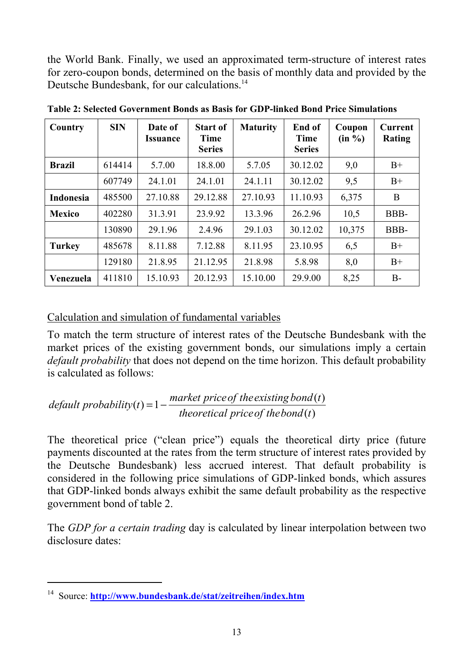the World Bank. Finally, we used an approximated term-structure of interest rates for zero-coupon bonds, determined on the basis of monthly data and provided by the Deutsche Bundesbank, for our calculations.<sup>14</sup>

| Country          | <b>SIN</b> | Date of<br><i><b>Issuance</b></i> | <b>Start of</b><br><b>Time</b><br><b>Series</b> | <b>Maturity</b> | End of<br><b>Time</b><br><b>Series</b> | Coupon<br>(in %) | Current<br><b>Rating</b> |
|------------------|------------|-----------------------------------|-------------------------------------------------|-----------------|----------------------------------------|------------------|--------------------------|
| <b>Brazil</b>    | 614414     | 5.7.00                            | 18.8.00                                         | 5.7.05          | 30.12.02                               | 9,0              | $B+$                     |
|                  | 607749     | 24.1.01                           | 24.1.01                                         | 24.1.11         | 30.12.02                               | 9,5              | $B+$                     |
| <b>Indonesia</b> | 485500     | 27.10.88                          | 29.12.88                                        | 27.10.93        | 11.10.93                               | 6,375            | B                        |
| <b>Mexico</b>    | 402280     | 31.3.91                           | 23.9.92                                         | 13.3.96         | 26.2.96                                | 10,5             | BBB-                     |
|                  | 130890     | 29.1.96                           | 2.4.96                                          | 29.1.03         | 30.12.02                               | 10,375           | BBB-                     |
| <b>Turkey</b>    | 485678     | 8.11.88                           | 7.12.88                                         | 8.11.95         | 23.10.95                               | 6,5              | $B+$                     |
|                  | 129180     | 21.8.95                           | 21.12.95                                        | 21.8.98         | 5.8.98                                 | 8,0              | $B+$                     |
| Venezuela        | 411810     | 15.10.93                          | 20.12.93                                        | 15.10.00        | 29.9.00                                | 8,25             | $B-$                     |

**Table 2: Selected Government Bonds as Basis for GDP-linked Bond Price Simulations** 

### Calculation and simulation of fundamental variables

To match the term structure of interest rates of the Deutsche Bundesbank with the market prices of the existing government bonds, our simulations imply a certain *default probability* that does not depend on the time horizon. This default probability is calculated as follows:

 $default \ probability(t) = 1 - \frac{market \ price \ of \ the \ existing \ bond(t)}{theoretical \ price \ of \ the \ bond(t)}$ 

The theoretical price ("clean price") equals the theoretical dirty price (future payments discounted at the rates from the term structure of interest rates provided by the Deutsche Bundesbank) less accrued interest. That default probability is considered in the following price simulations of GDP-linked bonds, which assures that GDP-linked bonds always exhibit the same default probability as the respective government bond of table 2.

The *GDP for a certain trading* day is calculated by linear interpolation between two disclosure dates:

l

<sup>14</sup> Source: **http://www.bundesbank.de/stat/zeitreihen/index.htm**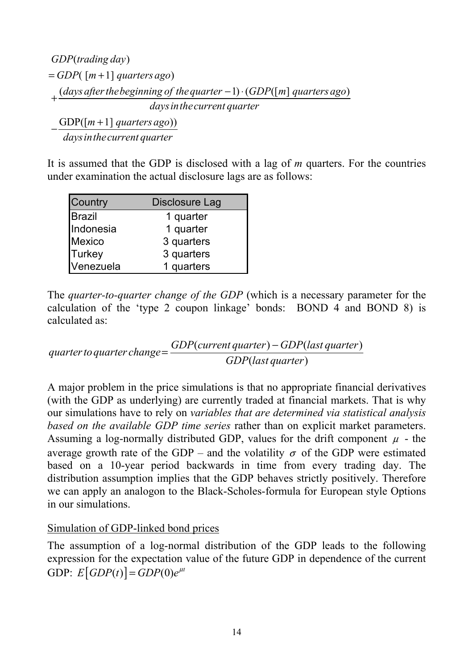```
( )
GDP trading day
= GDP( [m+1] quarters ago)
+ (days after the beginning of the quarter -1) · (GDP([m] quarters ago)
                       daysinthecurrent quarter
```
 $-\frac{\text{GDP}([m+1] \text{ quarters ago}))}{\frac{1}{m}}$ *daysinthecurrent quarter*

It is assumed that the GDP is disclosed with a lag of *m* quarters. For the countries under examination the actual disclosure lags are as follows:

| Country       | Disclosure Lag |
|---------------|----------------|
| <b>Brazil</b> | 1 quarter      |
| Indonesia     | 1 quarter      |
| Mexico        | 3 quarters     |
| <b>Turkey</b> | 3 quarters     |
| Venezuela     | 1 quarters     |

The *quarter-to-quarter change of the GDP* (which is a necessary parameter for the calculation of the 'type 2 coupon linkage' bonds: BOND 4 and BOND 8) is calculated as:

 $(current quarter) - GDP (last quarter)$ ( ) *GDP current quarter GDP last quarter quarter toquarter change GDP last quarter* <sup>−</sup> <sup>=</sup>

A major problem in the price simulations is that no appropriate financial derivatives (with the GDP as underlying) are currently traded at financial markets. That is why our simulations have to rely on *variables that are determined via statistical analysis based on the available GDP time series* rather than on explicit market parameters. Assuming a log-normally distributed GDP, values for the drift component  $\mu$  - the average growth rate of the GDP – and the volatility  $\sigma$  of the GDP were estimated based on a 10-year period backwards in time from every trading day. The distribution assumption implies that the GDP behaves strictly positively. Therefore we can apply an analogon to the Black-Scholes-formula for European style Options in our simulations.

#### Simulation of GDP-linked bond prices

The assumption of a log-normal distribution of the GDP leads to the following expression for the expectation value of the future GDP in dependence of the current GDP:  $E[GDP(t)] = GDP(0)e^{\mu t}$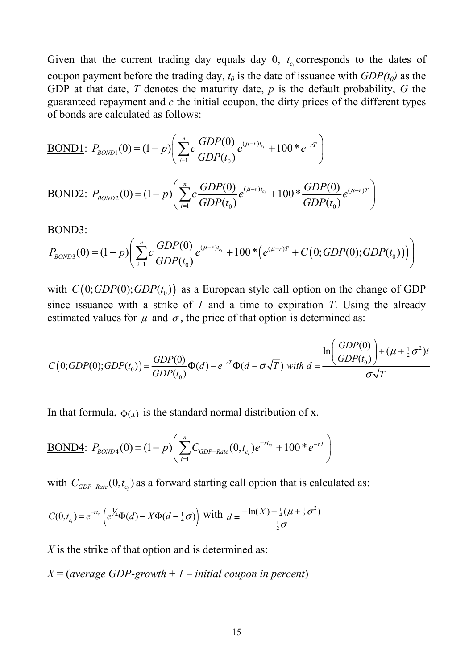Given that the current trading day equals day  $0$ ,  $t_c$  corresponds to the dates of coupon payment before the trading day,  $t_0$  is the date of issuance with  $GDP(t_0)$  as the GDP at that date, *T* denotes the maturity date, *p* is the default probability, *G* the guaranteed repayment and *c* the initial coupon, the dirty prices of the different types of bonds are calculated as follows:

BOND1: 
$$
P_{\text{BOND1}}(0) = (1-p) \left( \sum_{i=1}^{n} c \frac{GDP(0)}{GDP(t_0)} e^{(\mu-r)t_{c_i}} + 100 \cdot e^{-rT} \right)
$$

BOND2: 
$$
P_{BOND2}(0) = (1-p) \left( \sum_{i=1}^{n} c \frac{GDP(0)}{GDP(t_0)} e^{(\mu-r)t_{c_i}} + 100 \times \frac{GDP(0)}{GDP(t_0)} e^{(\mu-r)T} \right)
$$

BOND3:

$$
P_{BOND3}(0) = (1-p) \left( \sum_{i=1}^{n} c \frac{GDP(0)}{GDP(t_0)} e^{(\mu-r)t_{c_i}} + 100 * \left( e^{(\mu-r)T} + C(0; GDP(0); GDP(t_0)) \right) \right)
$$

with  $C( 0; GDP(0); GDP(t_0))$  as a European style call option on the change of GDP since issuance with a strike of *1* and a time to expiration *T*. Using the already estimated values for  $\mu$  and  $\sigma$ , the price of that option is determined as:

$$
C(0;GDP(0);GDP(t_0)) = \frac{GDP(0)}{GDP(t_0)}\Phi(d) - e^{-rT}\Phi(d - \sigma\sqrt{T}) \text{ with } d = \frac{\ln\left(\frac{GDP(0)}{GDP(t_0)}\right) + (\mu + \frac{1}{2}\sigma^2)t}{\sigma\sqrt{T}}
$$

In that formula,  $\Phi(x)$  is the standard normal distribution of x.

$$
\underline{\text{BOND4}}: P_{\text{BOND4}}(0) = (1-p) \bigg( \sum_{i=1}^{n} C_{\text{GDP-Rate}}(0, t_{c_i}) e^{-rt_{c_i}} + 100 \cdot e^{-rT} \bigg)
$$

with  $C_{GDP-Rate} (0, t_{c_i})$  as a forward starting call option that is calculated as:

$$
C(0,t_{c_i}) = e^{-rt_{c_i}} \left( e^{\frac{1}{4}} \Phi(d) - X \Phi(d - \frac{1}{4} \sigma) \right)
$$
 with  $d = \frac{-\ln(X) + \frac{1}{4} (\mu + \frac{1}{2} \sigma^2)}{\frac{1}{2} \sigma}$ 

*X* is the strike of that option and is determined as:

*X* = (*average GDP-growth* + *1* – *initial coupon in percent*)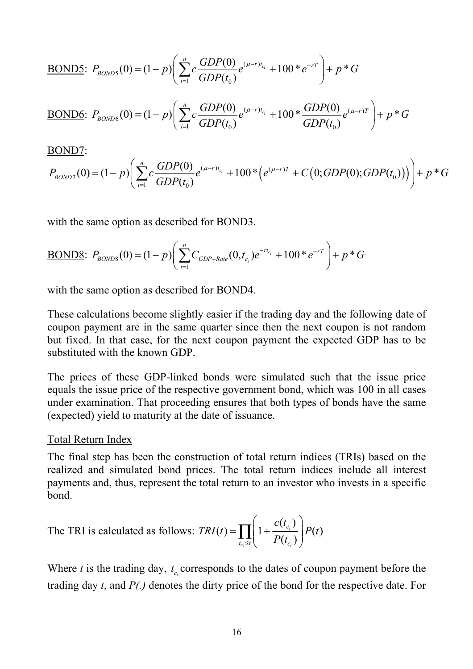**BOND5:**

\n
$$
P_{BOND5}(0) = (1-p) \left( \sum_{i=1}^{n} c \frac{GDP(0)}{GDP(t_0)} e^{(\mu-r)t_{c_i}} + 100 \cdot e^{-rT} \right) + p \cdot G
$$
\n**BOND6:**

\n
$$
P_{BOND6}(0) = (1-p) \left( \sum_{i=1}^{n} c \frac{GDP(0)}{GDP(t_0)} e^{(\mu-r)t_{c_i}} + 100 \cdot \frac{GDP(0)}{GDP(t_0)} e^{(\mu-r)T} \right) + p \cdot G
$$

#### BOND7:

$$
P_{BOND7}(0) = (1-p)\left(\sum_{i=1}^{n} c \frac{GDP(0)}{GDP(t_0)} e^{(\mu-r)t_{c_i}} + 100*(e^{(\mu-r)T} + C(0; GDP(0); GDP(t_0)))\right) + p*G
$$

with the same option as described for BOND3.

BOND8: 
$$
P_{BOND8}(0) = (1-p) \left( \sum_{i=1}^{n} C_{GDP-Rate}(0,t_{c_i}) e^{-rt_{c_i}} + 100 e^{-rT} \right) + p * G
$$

with the same option as described for BOND4.

These calculations become slightly easier if the trading day and the following date of coupon payment are in the same quarter since then the next coupon is not random but fixed. In that case, for the next coupon payment the expected GDP has to be substituted with the known GDP.

The prices of these GDP-linked bonds were simulated such that the issue price equals the issue price of the respective government bond, which was 100 in all cases under examination. That proceeding ensures that both types of bonds have the same (expected) yield to maturity at the date of issuance.

#### Total Return Index

The final step has been the construction of total return indices (TRIs) based on the realized and simulated bond prices. The total return indices include all interest payments and, thus, represent the total return to an investor who invests in a specific bond.

The TRI is calculated as follows: 
$$
TRI(t) = \prod_{t_{c_i} \leq t} \left( 1 + \frac{c(t_{c_i})}{P(t_{c_i})} \right) P(t)
$$

Where *t* is the trading day,  $t_c$  corresponds to the dates of coupon payment before the trading day *t*, and *P(.)* denotes the dirty price of the bond for the respective date. For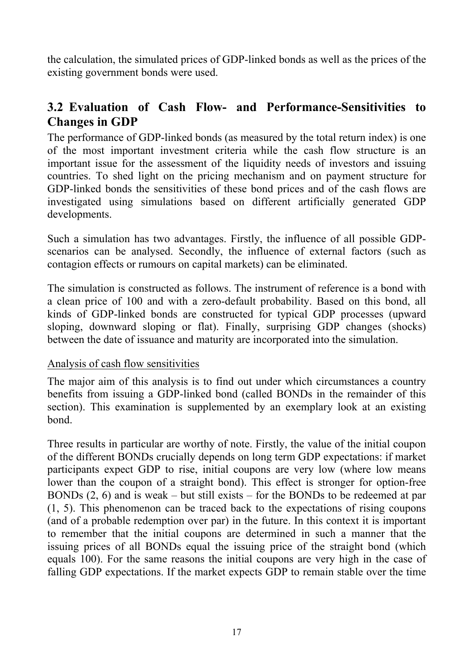the calculation, the simulated prices of GDP-linked bonds as well as the prices of the existing government bonds were used.

### **3.2 Evaluation of Cash Flow- and Performance-Sensitivities to Changes in GDP**

The performance of GDP-linked bonds (as measured by the total return index) is one of the most important investment criteria while the cash flow structure is an important issue for the assessment of the liquidity needs of investors and issuing countries. To shed light on the pricing mechanism and on payment structure for GDP-linked bonds the sensitivities of these bond prices and of the cash flows are investigated using simulations based on different artificially generated GDP developments.

Such a simulation has two advantages. Firstly, the influence of all possible GDPscenarios can be analysed. Secondly, the influence of external factors (such as contagion effects or rumours on capital markets) can be eliminated.

The simulation is constructed as follows. The instrument of reference is a bond with a clean price of 100 and with a zero-default probability. Based on this bond, all kinds of GDP-linked bonds are constructed for typical GDP processes (upward sloping, downward sloping or flat). Finally, surprising GDP changes (shocks) between the date of issuance and maturity are incorporated into the simulation.

#### Analysis of cash flow sensitivities

The major aim of this analysis is to find out under which circumstances a country benefits from issuing a GDP-linked bond (called BONDs in the remainder of this section). This examination is supplemented by an exemplary look at an existing bond.

Three results in particular are worthy of note. Firstly, the value of the initial coupon of the different BONDs crucially depends on long term GDP expectations: if market participants expect GDP to rise, initial coupons are very low (where low means lower than the coupon of a straight bond). This effect is stronger for option-free BONDs (2, 6) and is weak – but still exists – for the BONDs to be redeemed at par (1, 5). This phenomenon can be traced back to the expectations of rising coupons (and of a probable redemption over par) in the future. In this context it is important to remember that the initial coupons are determined in such a manner that the issuing prices of all BONDs equal the issuing price of the straight bond (which equals 100). For the same reasons the initial coupons are very high in the case of falling GDP expectations. If the market expects GDP to remain stable over the time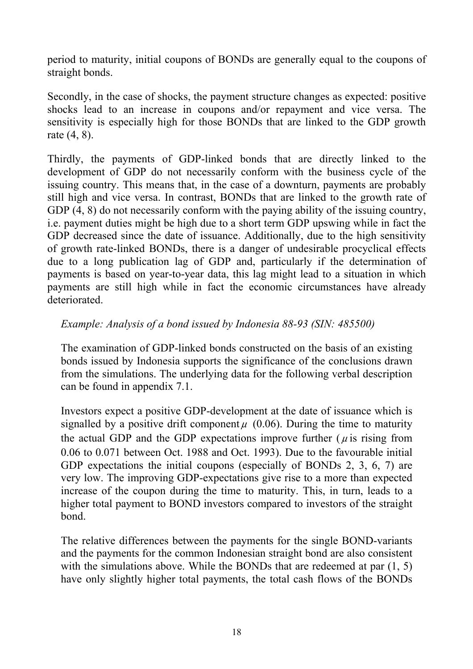period to maturity, initial coupons of BONDs are generally equal to the coupons of straight bonds.

Secondly, in the case of shocks, the payment structure changes as expected: positive shocks lead to an increase in coupons and/or repayment and vice versa. The sensitivity is especially high for those BONDs that are linked to the GDP growth rate (4, 8).

Thirdly, the payments of GDP-linked bonds that are directly linked to the development of GDP do not necessarily conform with the business cycle of the issuing country. This means that, in the case of a downturn, payments are probably still high and vice versa. In contrast, BONDs that are linked to the growth rate of GDP  $(4, 8)$  do not necessarily conform with the paying ability of the issuing country, i.e. payment duties might be high due to a short term GDP upswing while in fact the GDP decreased since the date of issuance. Additionally, due to the high sensitivity of growth rate-linked BONDs, there is a danger of undesirable procyclical effects due to a long publication lag of GDP and, particularly if the determination of payments is based on year-to-year data, this lag might lead to a situation in which payments are still high while in fact the economic circumstances have already deteriorated.

#### *Example: Analysis of a bond issued by Indonesia 88-93 (SIN: 485500)*

The examination of GDP-linked bonds constructed on the basis of an existing bonds issued by Indonesia supports the significance of the conclusions drawn from the simulations. The underlying data for the following verbal description can be found in appendix 7.1.

Investors expect a positive GDP-development at the date of issuance which is signalled by a positive drift component  $\mu$  (0.06). During the time to maturity the actual GDP and the GDP expectations improve further ( $\mu$  is rising from 0.06 to 0.071 between Oct. 1988 and Oct. 1993). Due to the favourable initial GDP expectations the initial coupons (especially of BONDs 2, 3, 6, 7) are very low. The improving GDP-expectations give rise to a more than expected increase of the coupon during the time to maturity. This, in turn, leads to a higher total payment to BOND investors compared to investors of the straight bond.

The relative differences between the payments for the single BOND-variants and the payments for the common Indonesian straight bond are also consistent with the simulations above. While the BONDs that are redeemed at par  $(1, 5)$ have only slightly higher total payments, the total cash flows of the BONDs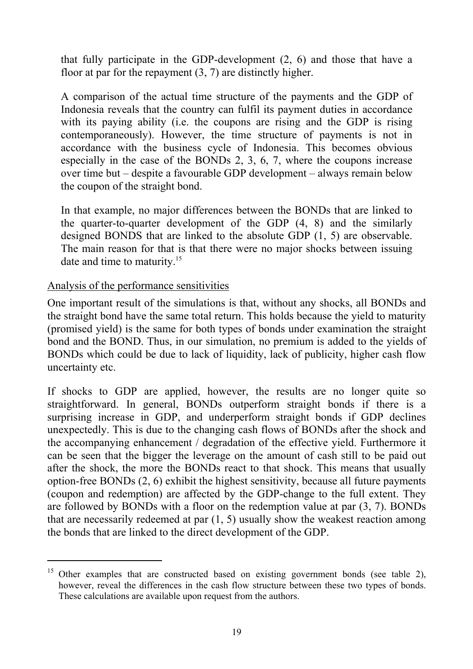that fully participate in the GDP-development (2, 6) and those that have a floor at par for the repayment (3, 7) are distinctly higher.

A comparison of the actual time structure of the payments and the GDP of Indonesia reveals that the country can fulfil its payment duties in accordance with its paying ability (i.e. the coupons are rising and the GDP is rising contemporaneously). However, the time structure of payments is not in accordance with the business cycle of Indonesia. This becomes obvious especially in the case of the BONDs 2, 3, 6, 7, where the coupons increase over time but – despite a favourable GDP development – always remain below the coupon of the straight bond.

In that example, no major differences between the BONDs that are linked to the quarter-to-quarter development of the GDP (4, 8) and the similarly designed BONDS that are linked to the absolute GDP (1, 5) are observable. The main reason for that is that there were no major shocks between issuing date and time to maturity.<sup>15</sup>

#### Analysis of the performance sensitivities

l

One important result of the simulations is that, without any shocks, all BONDs and the straight bond have the same total return. This holds because the yield to maturity (promised yield) is the same for both types of bonds under examination the straight bond and the BOND. Thus, in our simulation, no premium is added to the yields of BONDs which could be due to lack of liquidity, lack of publicity, higher cash flow uncertainty etc.

If shocks to GDP are applied, however, the results are no longer quite so straightforward. In general, BONDs outperform straight bonds if there is a surprising increase in GDP, and underperform straight bonds if GDP declines unexpectedly. This is due to the changing cash flows of BONDs after the shock and the accompanying enhancement / degradation of the effective yield. Furthermore it can be seen that the bigger the leverage on the amount of cash still to be paid out after the shock, the more the BONDs react to that shock. This means that usually option-free BONDs (2, 6) exhibit the highest sensitivity, because all future payments (coupon and redemption) are affected by the GDP-change to the full extent. They are followed by BONDs with a floor on the redemption value at par (3, 7). BONDs that are necessarily redeemed at par (1, 5) usually show the weakest reaction among the bonds that are linked to the direct development of the GDP.

<sup>&</sup>lt;sup>15</sup> Other examples that are constructed based on existing government bonds (see table 2), however, reveal the differences in the cash flow structure between these two types of bonds. These calculations are available upon request from the authors.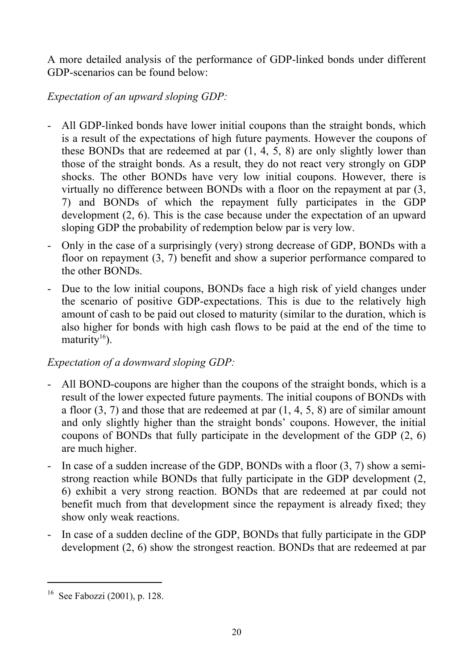A more detailed analysis of the performance of GDP-linked bonds under different GDP-scenarios can be found below:

### *Expectation of an upward sloping GDP:*

- All GDP-linked bonds have lower initial coupons than the straight bonds, which is a result of the expectations of high future payments. However the coupons of these BONDs that are redeemed at par (1, 4, 5, 8) are only slightly lower than those of the straight bonds. As a result, they do not react very strongly on GDP shocks. The other BONDs have very low initial coupons. However, there is virtually no difference between BONDs with a floor on the repayment at par (3, 7) and BONDs of which the repayment fully participates in the GDP development (2, 6). This is the case because under the expectation of an upward sloping GDP the probability of redemption below par is very low.
- Only in the case of a surprisingly (very) strong decrease of GDP, BONDs with a floor on repayment (3, 7) benefit and show a superior performance compared to the other BONDs.
- Due to the low initial coupons, BONDs face a high risk of yield changes under the scenario of positive GDP-expectations. This is due to the relatively high amount of cash to be paid out closed to maturity (similar to the duration, which is also higher for bonds with high cash flows to be paid at the end of the time to maturity<sup>16</sup>).

### *Expectation of a downward sloping GDP:*

- All BOND-coupons are higher than the coupons of the straight bonds, which is a result of the lower expected future payments. The initial coupons of BONDs with a floor  $(3, 7)$  and those that are redeemed at par  $(1, 4, 5, 8)$  are of similar amount and only slightly higher than the straight bonds' coupons. However, the initial coupons of BONDs that fully participate in the development of the GDP (2, 6) are much higher.
- In case of a sudden increase of the GDP, BONDs with a floor (3, 7) show a semistrong reaction while BONDs that fully participate in the GDP development (2, 6) exhibit a very strong reaction. BONDs that are redeemed at par could not benefit much from that development since the repayment is already fixed; they show only weak reactions.
- In case of a sudden decline of the GDP, BONDs that fully participate in the GDP development (2, 6) show the strongest reaction. BONDs that are redeemed at par

l

<sup>16</sup> See Fabozzi (2001), p. 128.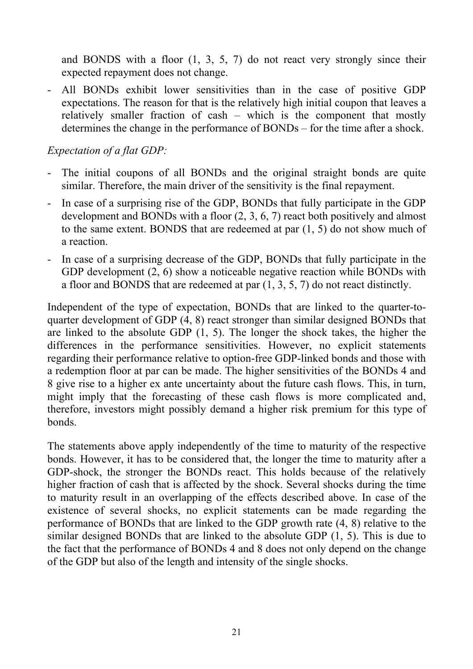and BONDS with a floor (1, 3, 5, 7) do not react very strongly since their expected repayment does not change.

- All BONDs exhibit lower sensitivities than in the case of positive GDP expectations. The reason for that is the relatively high initial coupon that leaves a relatively smaller fraction of cash – which is the component that mostly determines the change in the performance of BONDs – for the time after a shock.

### *Expectation of a flat GDP:*

- The initial coupons of all BONDs and the original straight bonds are quite similar. Therefore, the main driver of the sensitivity is the final repayment.
- In case of a surprising rise of the GDP, BONDs that fully participate in the GDP development and BONDs with a floor (2, 3, 6, 7) react both positively and almost to the same extent. BONDS that are redeemed at par (1, 5) do not show much of a reaction.
- In case of a surprising decrease of the GDP, BONDs that fully participate in the GDP development  $(2, 6)$  show a noticeable negative reaction while BONDs with a floor and BONDS that are redeemed at par (1, 3, 5, 7) do not react distinctly.

Independent of the type of expectation, BONDs that are linked to the quarter-toquarter development of GDP (4, 8) react stronger than similar designed BONDs that are linked to the absolute GDP (1, 5). The longer the shock takes, the higher the differences in the performance sensitivities. However, no explicit statements regarding their performance relative to option-free GDP-linked bonds and those with a redemption floor at par can be made. The higher sensitivities of the BONDs 4 and 8 give rise to a higher ex ante uncertainty about the future cash flows. This, in turn, might imply that the forecasting of these cash flows is more complicated and, therefore, investors might possibly demand a higher risk premium for this type of bonds.

The statements above apply independently of the time to maturity of the respective bonds. However, it has to be considered that, the longer the time to maturity after a GDP-shock, the stronger the BONDs react. This holds because of the relatively higher fraction of cash that is affected by the shock. Several shocks during the time to maturity result in an overlapping of the effects described above. In case of the existence of several shocks, no explicit statements can be made regarding the performance of BONDs that are linked to the GDP growth rate (4, 8) relative to the similar designed BONDs that are linked to the absolute GDP (1, 5). This is due to the fact that the performance of BONDs 4 and 8 does not only depend on the change of the GDP but also of the length and intensity of the single shocks.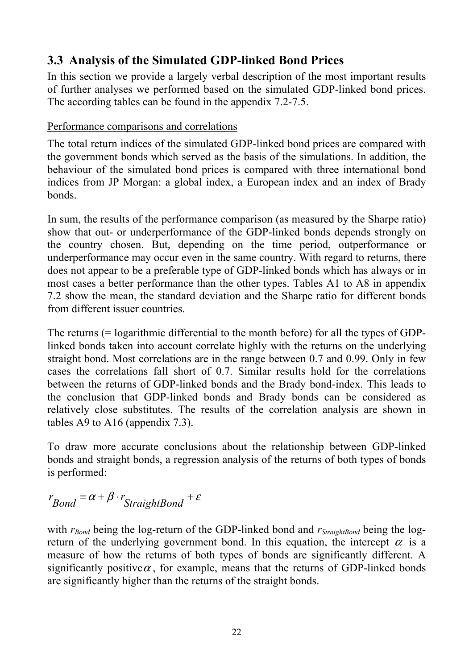### **3.3 Analysis of the Simulated GDP-linked Bond Prices**

In this section we provide a largely verbal description of the most important results of further analyses we performed based on the simulated GDP-linked bond prices. The according tables can be found in the appendix 7.2-7.5.

### Performance comparisons and correlations

The total return indices of the simulated GDP-linked bond prices are compared with the government bonds which served as the basis of the simulations. In addition, the behaviour of the simulated bond prices is compared with three international bond indices from JP Morgan: a global index, a European index and an index of Brady bonds.

In sum, the results of the performance comparison (as measured by the Sharpe ratio) show that out- or underperformance of the GDP-linked bonds depends strongly on the country chosen. But, depending on the time period, outperformance or underperformance may occur even in the same country. With regard to returns, there does not appear to be a preferable type of GDP-linked bonds which has always or in most cases a better performance than the other types. Tables A1 to A8 in appendix 7.2 show the mean, the standard deviation and the Sharpe ratio for different bonds from different issuer countries.

The returns (= logarithmic differential to the month before) for all the types of GDPlinked bonds taken into account correlate highly with the returns on the underlying straight bond. Most correlations are in the range between 0.7 and 0.99. Only in few cases the correlations fall short of 0.7. Similar results hold for the correlations between the returns of GDP-linked bonds and the Brady bond-index. This leads to the conclusion that GDP-linked bonds and Brady bonds can be considered as relatively close substitutes. The results of the correlation analysis are shown in tables A9 to A16 (appendix 7.3).

To draw more accurate conclusions about the relationship between GDP-linked bonds and straight bonds, a regression analysis of the returns of both types of bonds is performed:

$$
r_{Bond} = \alpha + \beta \cdot r_{StraightBond} + \varepsilon
$$

with  $r_{Bond}$  being the log-return of the GDP-linked bond and  $r_{StraichtBond}$  being the logreturn of the underlying government bond. In this equation, the intercept  $\alpha$  is a measure of how the returns of both types of bonds are significantly different. A significantly positive  $\alpha$ , for example, means that the returns of GDP-linked bonds are significantly higher than the returns of the straight bonds.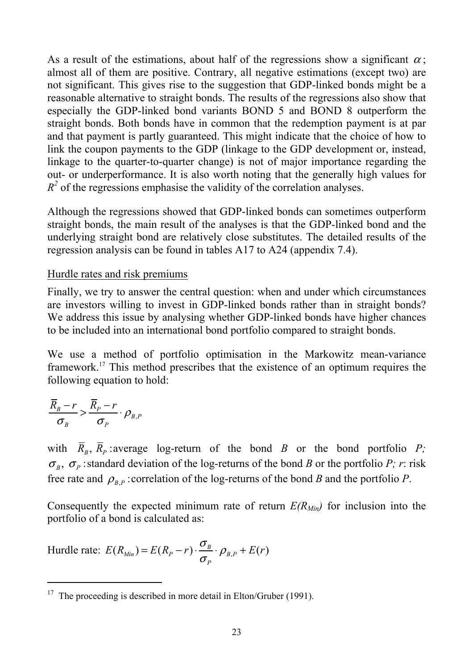As a result of the estimations, about half of the regressions show a significant  $\alpha$ ; almost all of them are positive. Contrary, all negative estimations (except two) are not significant. This gives rise to the suggestion that GDP-linked bonds might be a reasonable alternative to straight bonds. The results of the regressions also show that especially the GDP-linked bond variants BOND 5 and BOND 8 outperform the straight bonds. Both bonds have in common that the redemption payment is at par and that payment is partly guaranteed. This might indicate that the choice of how to link the coupon payments to the GDP (linkage to the GDP development or, instead, linkage to the quarter-to-quarter change) is not of major importance regarding the out- or underperformance. It is also worth noting that the generally high values for  $R<sup>2</sup>$  of the regressions emphasise the validity of the correlation analyses.

Although the regressions showed that GDP-linked bonds can sometimes outperform straight bonds, the main result of the analyses is that the GDP-linked bond and the underlying straight bond are relatively close substitutes. The detailed results of the regression analysis can be found in tables A17 to A24 (appendix 7.4).

#### Hurdle rates and risk premiums

Finally, we try to answer the central question: when and under which circumstances are investors willing to invest in GDP-linked bonds rather than in straight bonds? We address this issue by analysing whether GDP-linked bonds have higher chances to be included into an international bond portfolio compared to straight bonds.

We use a method of portfolio optimisation in the Markowitz mean-variance framework.17 This method prescribes that the existence of an optimum requires the following equation to hold:

$$
\frac{\overline{R}_B - r}{\sigma_B} > \frac{\overline{R}_P - r}{\sigma_P} \cdot \rho_{B,P}
$$

l

with  $\overline{R}_B$ ,  $\overline{R}_P$  average log-return of the bond *B* or the bond portfolio *P*;  $\sigma_B$ ,  $\sigma_P$ : standard deviation of the log-returns of the bond *B* or the portfolio *P*; *r*: risk free rate and  $\rho_{B,P}$  : correlation of the log-returns of the bond *B* and the portfolio *P*.

Consequently the expected minimum rate of return  $E(R_{Min})$  for inclusion into the portfolio of a bond is calculated as:

Hurdle rate: 
$$
E(R_{Min}) = E(R_p - r) \cdot \frac{\sigma_B}{\sigma_p} \cdot \rho_{B,P} + E(r)
$$

<sup>&</sup>lt;sup>17</sup> The proceeding is described in more detail in Elton/Gruber (1991).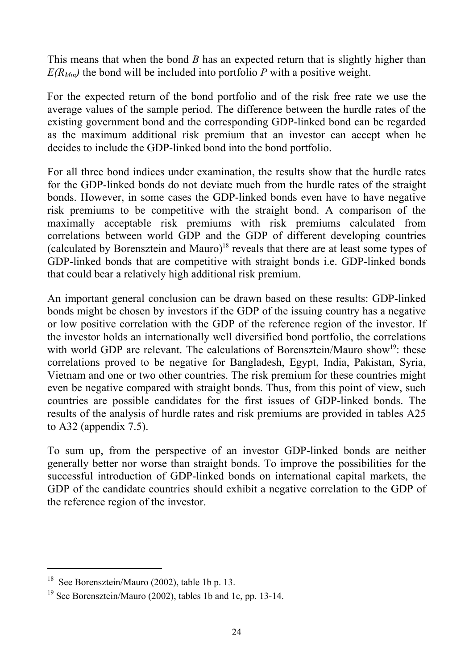This means that when the bond *B* has an expected return that is slightly higher than  $E(R_{Min})$  the bond will be included into portfolio *P* with a positive weight.

For the expected return of the bond portfolio and of the risk free rate we use the average values of the sample period. The difference between the hurdle rates of the existing government bond and the corresponding GDP-linked bond can be regarded as the maximum additional risk premium that an investor can accept when he decides to include the GDP-linked bond into the bond portfolio.

For all three bond indices under examination, the results show that the hurdle rates for the GDP-linked bonds do not deviate much from the hurdle rates of the straight bonds. However, in some cases the GDP-linked bonds even have to have negative risk premiums to be competitive with the straight bond. A comparison of the maximally acceptable risk premiums with risk premiums calculated from correlations between world GDP and the GDP of different developing countries (calculated by Borensztein and Mauro)<sup>18</sup> reveals that there are at least some types of GDP-linked bonds that are competitive with straight bonds i.e. GDP-linked bonds that could bear a relatively high additional risk premium.

An important general conclusion can be drawn based on these results: GDP-linked bonds might be chosen by investors if the GDP of the issuing country has a negative or low positive correlation with the GDP of the reference region of the investor. If the investor holds an internationally well diversified bond portfolio, the correlations with world GDP are relevant. The calculations of Borensztein/Mauro show<sup>19</sup>: these correlations proved to be negative for Bangladesh, Egypt, India, Pakistan, Syria, Vietnam and one or two other countries. The risk premium for these countries might even be negative compared with straight bonds. Thus, from this point of view, such countries are possible candidates for the first issues of GDP-linked bonds. The results of the analysis of hurdle rates and risk premiums are provided in tables A25 to A32 (appendix 7.5).

To sum up, from the perspective of an investor GDP-linked bonds are neither generally better nor worse than straight bonds. To improve the possibilities for the successful introduction of GDP-linked bonds on international capital markets, the GDP of the candidate countries should exhibit a negative correlation to the GDP of the reference region of the investor.

 $\overline{a}$ 

<sup>18</sup> See Borensztein/Mauro (2002), table 1b p. 13.

<sup>&</sup>lt;sup>19</sup> See Borensztein/Mauro (2002), tables 1b and 1c, pp. 13-14.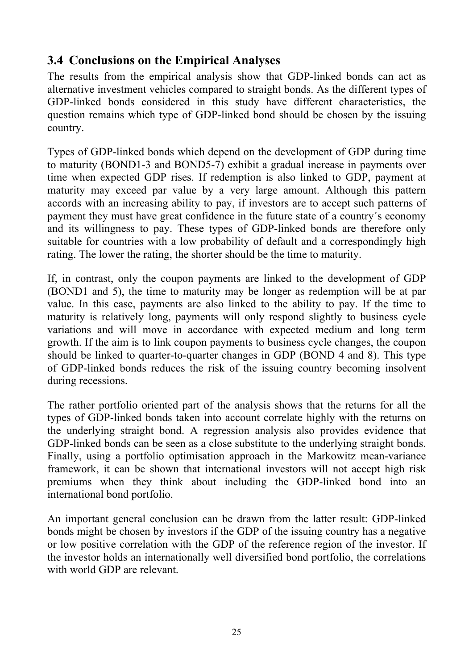### **3.4 Conclusions on the Empirical Analyses**

The results from the empirical analysis show that GDP-linked bonds can act as alternative investment vehicles compared to straight bonds. As the different types of GDP-linked bonds considered in this study have different characteristics, the question remains which type of GDP-linked bond should be chosen by the issuing country.

Types of GDP-linked bonds which depend on the development of GDP during time to maturity (BOND1-3 and BOND5-7) exhibit a gradual increase in payments over time when expected GDP rises. If redemption is also linked to GDP, payment at maturity may exceed par value by a very large amount. Although this pattern accords with an increasing ability to pay, if investors are to accept such patterns of payment they must have great confidence in the future state of a country´s economy and its willingness to pay. These types of GDP-linked bonds are therefore only suitable for countries with a low probability of default and a correspondingly high rating. The lower the rating, the shorter should be the time to maturity.

If, in contrast, only the coupon payments are linked to the development of GDP (BOND1 and 5), the time to maturity may be longer as redemption will be at par value. In this case, payments are also linked to the ability to pay. If the time to maturity is relatively long, payments will only respond slightly to business cycle variations and will move in accordance with expected medium and long term growth. If the aim is to link coupon payments to business cycle changes, the coupon should be linked to quarter-to-quarter changes in GDP (BOND 4 and 8). This type of GDP-linked bonds reduces the risk of the issuing country becoming insolvent during recessions.

The rather portfolio oriented part of the analysis shows that the returns for all the types of GDP-linked bonds taken into account correlate highly with the returns on the underlying straight bond. A regression analysis also provides evidence that GDP-linked bonds can be seen as a close substitute to the underlying straight bonds. Finally, using a portfolio optimisation approach in the Markowitz mean-variance framework, it can be shown that international investors will not accept high risk premiums when they think about including the GDP-linked bond into an international bond portfolio.

An important general conclusion can be drawn from the latter result: GDP-linked bonds might be chosen by investors if the GDP of the issuing country has a negative or low positive correlation with the GDP of the reference region of the investor. If the investor holds an internationally well diversified bond portfolio, the correlations with world GDP are relevant.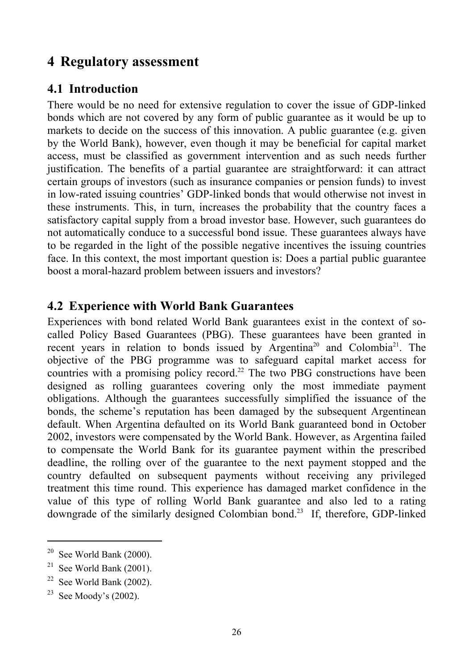### **4 Regulatory assessment**

### **4.1 Introduction**

There would be no need for extensive regulation to cover the issue of GDP-linked bonds which are not covered by any form of public guarantee as it would be up to markets to decide on the success of this innovation. A public guarantee (e.g. given by the World Bank), however, even though it may be beneficial for capital market access, must be classified as government intervention and as such needs further justification. The benefits of a partial guarantee are straightforward: it can attract certain groups of investors (such as insurance companies or pension funds) to invest in low-rated issuing countries' GDP-linked bonds that would otherwise not invest in these instruments. This, in turn, increases the probability that the country faces a satisfactory capital supply from a broad investor base. However, such guarantees do not automatically conduce to a successful bond issue. These guarantees always have to be regarded in the light of the possible negative incentives the issuing countries face. In this context, the most important question is: Does a partial public guarantee boost a moral-hazard problem between issuers and investors?

### **4.2 Experience with World Bank Guarantees**

Experiences with bond related World Bank guarantees exist in the context of socalled Policy Based Guarantees (PBG). These guarantees have been granted in recent years in relation to bonds issued by Argentina<sup>20</sup> and Colombia<sup>21</sup>. The objective of the PBG programme was to safeguard capital market access for countries with a promising policy record.<sup>22</sup> The two PBG constructions have been designed as rolling guarantees covering only the most immediate payment obligations. Although the guarantees successfully simplified the issuance of the bonds, the scheme's reputation has been damaged by the subsequent Argentinean default. When Argentina defaulted on its World Bank guaranteed bond in October 2002, investors were compensated by the World Bank. However, as Argentina failed to compensate the World Bank for its guarantee payment within the prescribed deadline, the rolling over of the guarantee to the next payment stopped and the country defaulted on subsequent payments without receiving any privileged treatment this time round. This experience has damaged market confidence in the value of this type of rolling World Bank guarantee and also led to a rating downgrade of the similarly designed Colombian bond.23 If, therefore, GDP-linked

 $\overline{a}$ 

 $20$  See World Bank (2000).

<sup>&</sup>lt;sup>21</sup> See World Bank  $(2001)$ .

 $22$  See World Bank (2002).

 $23$  See Moody's (2002).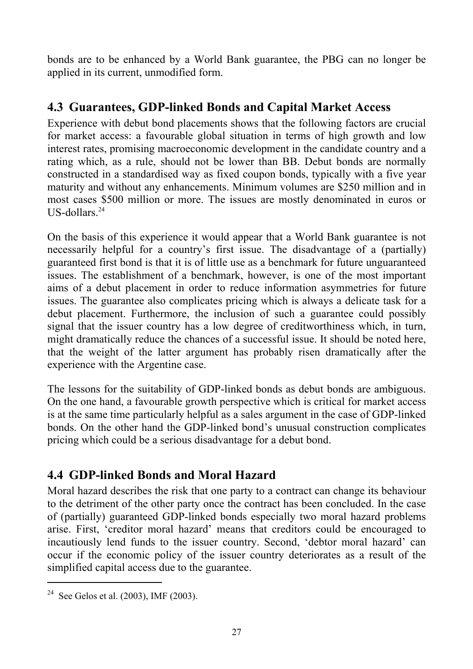bonds are to be enhanced by a World Bank guarantee, the PBG can no longer be applied in its current, unmodified form.

### **4.3 Guarantees, GDP-linked Bonds and Capital Market Access**

Experience with debut bond placements shows that the following factors are crucial for market access: a favourable global situation in terms of high growth and low interest rates, promising macroeconomic development in the candidate country and a rating which, as a rule, should not be lower than BB. Debut bonds are normally constructed in a standardised way as fixed coupon bonds, typically with a five year maturity and without any enhancements. Minimum volumes are \$250 million and in most cases \$500 million or more. The issues are mostly denominated in euros or US-dollars $^{24}$ 

On the basis of this experience it would appear that a World Bank guarantee is not necessarily helpful for a country's first issue. The disadvantage of a (partially) guaranteed first bond is that it is of little use as a benchmark for future unguaranteed issues. The establishment of a benchmark, however, is one of the most important aims of a debut placement in order to reduce information asymmetries for future issues. The guarantee also complicates pricing which is always a delicate task for a debut placement. Furthermore, the inclusion of such a guarantee could possibly signal that the issuer country has a low degree of creditworthiness which, in turn, might dramatically reduce the chances of a successful issue. It should be noted here, that the weight of the latter argument has probably risen dramatically after the experience with the Argentine case.

The lessons for the suitability of GDP-linked bonds as debut bonds are ambiguous. On the one hand, a favourable growth perspective which is critical for market access is at the same time particularly helpful as a sales argument in the case of GDP-linked bonds. On the other hand the GDP-linked bond's unusual construction complicates pricing which could be a serious disadvantage for a debut bond.

### **4.4 GDP-linked Bonds and Moral Hazard**

Moral hazard describes the risk that one party to a contract can change its behaviour to the detriment of the other party once the contract has been concluded. In the case of (partially) guaranteed GDP-linked bonds especially two moral hazard problems arise. First, 'creditor moral hazard' means that creditors could be encouraged to incautiously lend funds to the issuer country. Second, 'debtor moral hazard' can occur if the economic policy of the issuer country deteriorates as a result of the simplified capital access due to the guarantee.

l

<sup>&</sup>lt;sup>24</sup> See Gelos et al.  $(2003)$ , IMF  $(2003)$ .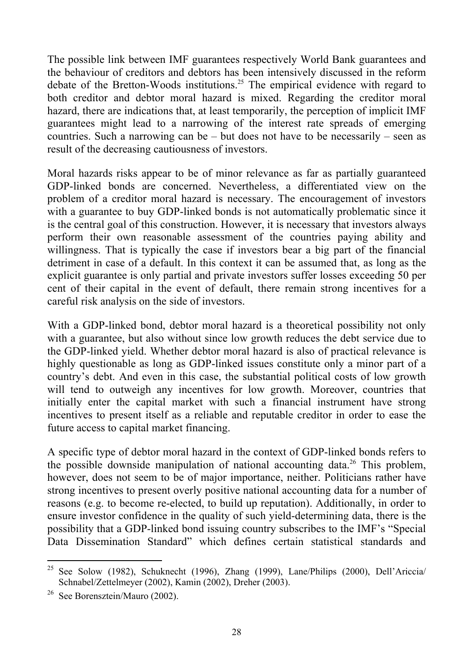The possible link between IMF guarantees respectively World Bank guarantees and the behaviour of creditors and debtors has been intensively discussed in the reform debate of the Bretton-Woods institutions.<sup>25</sup> The empirical evidence with regard to both creditor and debtor moral hazard is mixed. Regarding the creditor moral hazard, there are indications that, at least temporarily, the perception of implicit IMF guarantees might lead to a narrowing of the interest rate spreads of emerging countries. Such a narrowing can be – but does not have to be necessarily – seen as result of the decreasing cautiousness of investors.

Moral hazards risks appear to be of minor relevance as far as partially guaranteed GDP-linked bonds are concerned. Nevertheless, a differentiated view on the problem of a creditor moral hazard is necessary. The encouragement of investors with a guarantee to buy GDP-linked bonds is not automatically problematic since it is the central goal of this construction. However, it is necessary that investors always perform their own reasonable assessment of the countries paying ability and willingness. That is typically the case if investors bear a big part of the financial detriment in case of a default. In this context it can be assumed that, as long as the explicit guarantee is only partial and private investors suffer losses exceeding 50 per cent of their capital in the event of default, there remain strong incentives for a careful risk analysis on the side of investors.

With a GDP-linked bond, debtor moral hazard is a theoretical possibility not only with a guarantee, but also without since low growth reduces the debt service due to the GDP-linked yield. Whether debtor moral hazard is also of practical relevance is highly questionable as long as GDP-linked issues constitute only a minor part of a country's debt. And even in this case, the substantial political costs of low growth will tend to outweigh any incentives for low growth. Moreover, countries that initially enter the capital market with such a financial instrument have strong incentives to present itself as a reliable and reputable creditor in order to ease the future access to capital market financing.

A specific type of debtor moral hazard in the context of GDP-linked bonds refers to the possible downside manipulation of national accounting data.<sup>26</sup> This problem, however, does not seem to be of major importance, neither. Politicians rather have strong incentives to present overly positive national accounting data for a number of reasons (e.g. to become re-elected, to build up reputation). Additionally, in order to ensure investor confidence in the quality of such yield-determining data, there is the possibility that a GDP-linked bond issuing country subscribes to the IMF's "Special Data Dissemination Standard" which defines certain statistical standards and

l

<sup>25</sup> See Solow (1982), Schuknecht (1996), Zhang (1999), Lane/Philips (2000), Dell'Ariccia/ Schnabel/Zettelmeyer (2002), Kamin (2002), Dreher (2003).

 $26$  See Borensztein/Mauro (2002).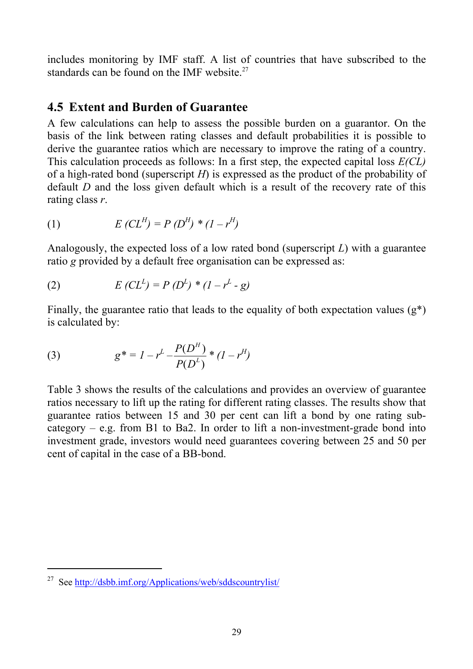includes monitoring by IMF staff. A list of countries that have subscribed to the standards can be found on the IMF website. $27$ 

### **4.5 Extent and Burden of Guarantee**

A few calculations can help to assess the possible burden on a guarantor. On the basis of the link between rating classes and default probabilities it is possible to derive the guarantee ratios which are necessary to improve the rating of a country. This calculation proceeds as follows: In a first step, the expected capital loss *E(CL)* of a high-rated bond (superscript *H*) is expressed as the product of the probability of default *D* and the loss given default which is a result of the recovery rate of this rating class *r*.

(1) 
$$
E(CL^{H}) = P(D^{H}) * (1 - r^{H})
$$

Analogously, the expected loss of a low rated bond (superscript *L*) with a guarantee ratio *g* provided by a default free organisation can be expressed as:

(2) 
$$
E(CL^{L}) = P(D^{L}) * (1 - r^{L} - g)
$$

Finally, the guarantee ratio that leads to the equality of both expectation values  $(g^*)$ is calculated by:

(3) 
$$
g^* = I - r^L - \frac{P(D^H)}{P(D^L)} * (1 - r^H)
$$

Table 3 shows the results of the calculations and provides an overview of guarantee ratios necessary to lift up the rating for different rating classes. The results show that guarantee ratios between 15 and 30 per cent can lift a bond by one rating subcategory – e.g. from B1 to Ba2. In order to lift a non-investment-grade bond into investment grade, investors would need guarantees covering between 25 and 50 per cent of capital in the case of a BB-bond.

 $\overline{a}$ 

<sup>27</sup> See http://dsbb.imf.org/Applications/web/sddscountrylist/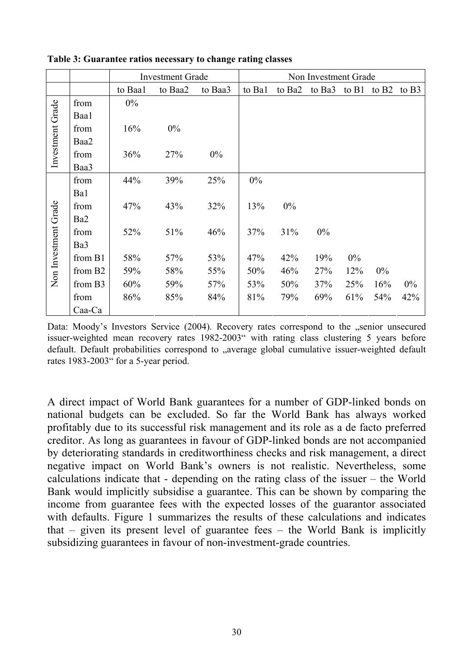|                      |                     | <b>Investment Grade</b> |         | Non Investment Grade |        |        |        |       |                   |                   |
|----------------------|---------------------|-------------------------|---------|----------------------|--------|--------|--------|-------|-------------------|-------------------|
|                      |                     | to Baa1                 | to Baa2 | to Baa3              | to Bal | to Ba2 | to Ba3 | to B1 | to B <sub>2</sub> | to B <sub>3</sub> |
|                      | from                | 0%                      |         |                      |        |        |        |       |                   |                   |
| Investment Grade     | Baa1                |                         |         |                      |        |        |        |       |                   |                   |
|                      | from                | 16%                     | $0\%$   |                      |        |        |        |       |                   |                   |
|                      | Baa2                |                         |         |                      |        |        |        |       |                   |                   |
|                      | from                | 36%                     | 27%     | $0\%$                |        |        |        |       |                   |                   |
|                      | Baa3                |                         |         |                      |        |        |        |       |                   |                   |
|                      | from                | 44%                     | 39%     | 25%                  | $0\%$  |        |        |       |                   |                   |
|                      | Ba1                 |                         |         |                      |        |        |        |       |                   |                   |
|                      | from                | 47%                     | 43%     | 32%                  | 13%    | 0%     |        |       |                   |                   |
|                      | Ba2                 |                         |         |                      |        |        |        |       |                   |                   |
| Non Investment Grade | from                | 52%                     | 51%     | 46%                  | 37%    | 31%    | 0%     |       |                   |                   |
|                      | Ba3                 |                         |         |                      |        |        |        |       |                   |                   |
|                      | from B1             | 58%                     | 57%     | 53%                  | 47%    | 42%    | 19%    | 0%    |                   |                   |
|                      | from B <sub>2</sub> | 59%                     | 58%     | 55%                  | 50%    | 46%    | 27%    | 12%   | $0\%$             |                   |
|                      | from B3             | 60%                     | 59%     | 57%                  | 53%    | 50%    | 37%    | 25%   | 16%               | $0\%$             |
|                      | from                | 86%                     | 85%     | 84%                  | 81%    | 79%    | 69%    | 61%   | 54%               | 42%               |
|                      | Caa-Ca              |                         |         |                      |        |        |        |       |                   |                   |

**Table 3: Guarantee ratios necessary to change rating classes** 

Data: Moody's Investors Service (2004). Recovery rates correspond to the "senior unsecured issuer-weighted mean recovery rates 1982-2003" with rating class clustering 5 years before default. Default probabilities correspond to "average global cumulative issuer-weighted default rates 1983-2003" for a 5-year period.

A direct impact of World Bank guarantees for a number of GDP-linked bonds on national budgets can be excluded. So far the World Bank has always worked profitably due to its successful risk management and its role as a de facto preferred creditor. As long as guarantees in favour of GDP-linked bonds are not accompanied by deteriorating standards in creditworthiness checks and risk management, a direct negative impact on World Bank's owners is not realistic. Nevertheless, some calculations indicate that - depending on the rating class of the issuer – the World Bank would implicitly subsidise a guarantee. This can be shown by comparing the income from guarantee fees with the expected losses of the guarantor associated with defaults. Figure 1 summarizes the results of these calculations and indicates that – given its present level of guarantee fees – the World Bank is implicitly subsidizing guarantees in favour of non-investment-grade countries.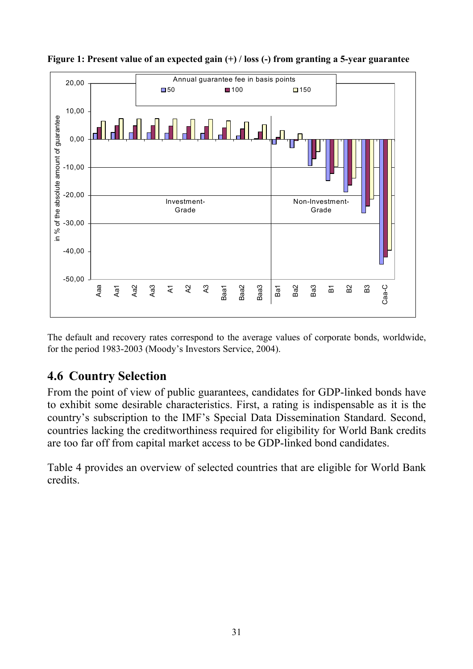

**Figure 1: Present value of an expected gain (+) / loss (-) from granting a 5-year guarantee** 

The default and recovery rates correspond to the average values of corporate bonds, worldwide, for the period 1983-2003 (Moody's Investors Service, 2004).

# **4.6 Country Selection**

From the point of view of public guarantees, candidates for GDP-linked bonds have to exhibit some desirable characteristics. First, a rating is indispensable as it is the country's subscription to the IMF's Special Data Dissemination Standard. Second, countries lacking the creditworthiness required for eligibility for World Bank credits are too far off from capital market access to be GDP-linked bond candidates.

Table 4 provides an overview of selected countries that are eligible for World Bank credits.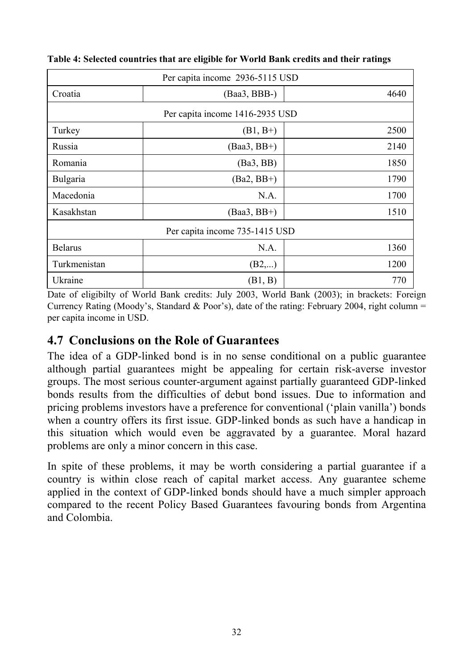| Per capita income 2936-5115 USD |                |      |  |  |  |  |
|---------------------------------|----------------|------|--|--|--|--|
| Croatia                         | $(Baa3, BBB-)$ | 4640 |  |  |  |  |
| Per capita income 1416-2935 USD |                |      |  |  |  |  |
| Turkey                          | $(B1, B+)$     | 2500 |  |  |  |  |
| Russia                          | $(Baa3, BB+)$  | 2140 |  |  |  |  |
| Romania                         | (Ba3, BB)      | 1850 |  |  |  |  |
| Bulgaria                        | $(Ba2, BB+)$   | 1790 |  |  |  |  |
| Macedonia                       | N.A.           | 1700 |  |  |  |  |
| Kasakhstan                      | $(Baa3, BB+ )$ | 1510 |  |  |  |  |
| Per capita income 735-1415 USD  |                |      |  |  |  |  |
| <b>Belarus</b>                  | N.A.           | 1360 |  |  |  |  |
| Turkmenistan                    | (B2,)          | 1200 |  |  |  |  |
| Ukraine                         | (B1, B)        | 770  |  |  |  |  |

**Table 4: Selected countries that are eligible for World Bank credits and their ratings** 

Date of eligibilty of World Bank credits: July 2003, World Bank (2003); in brackets: Foreign Currency Rating (Moody's, Standard & Poor's), date of the rating: February 2004, right column = per capita income in USD.

### **4.7 Conclusions on the Role of Guarantees**

The idea of a GDP-linked bond is in no sense conditional on a public guarantee although partial guarantees might be appealing for certain risk-averse investor groups. The most serious counter-argument against partially guaranteed GDP-linked bonds results from the difficulties of debut bond issues. Due to information and pricing problems investors have a preference for conventional ('plain vanilla') bonds when a country offers its first issue. GDP-linked bonds as such have a handicap in this situation which would even be aggravated by a guarantee. Moral hazard problems are only a minor concern in this case.

In spite of these problems, it may be worth considering a partial guarantee if a country is within close reach of capital market access. Any guarantee scheme applied in the context of GDP-linked bonds should have a much simpler approach compared to the recent Policy Based Guarantees favouring bonds from Argentina and Colombia.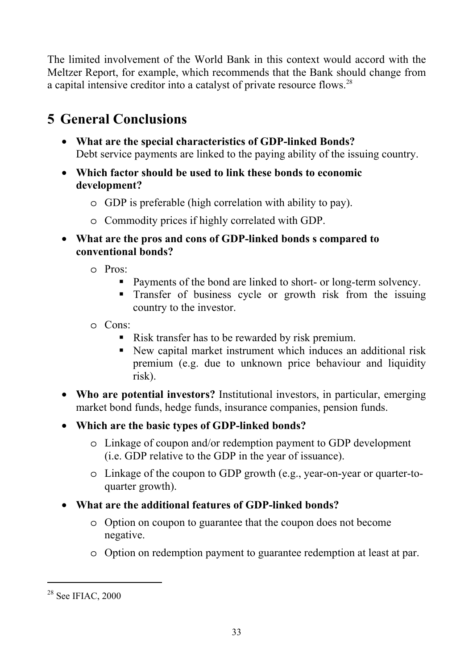The limited involvement of the World Bank in this context would accord with the Meltzer Report, for example, which recommends that the Bank should change from a capital intensive creditor into a catalyst of private resource flows.<sup>28</sup>

# **5 General Conclusions**

- **What are the special characteristics of GDP-linked Bonds?** Debt service payments are linked to the paying ability of the issuing country.
- **Which factor should be used to link these bonds to economic development?** 
	- o GDP is preferable (high correlation with ability to pay).
	- o Commodity prices if highly correlated with GDP.
- **What are the pros and cons of GDP-linked bonds s compared to conventional bonds?** 
	- o Pros:
		- Payments of the bond are linked to short- or long-term solvency.
		- **Transfer of business cycle or growth risk from the issuing** country to the investor.
	- o Cons:
		- Risk transfer has to be rewarded by risk premium.
		- New capital market instrument which induces an additional risk premium (e.g. due to unknown price behaviour and liquidity risk).
- **Who are potential investors?** Institutional investors, in particular, emerging market bond funds, hedge funds, insurance companies, pension funds.
- **Which are the basic types of GDP-linked bonds?** 
	- o Linkage of coupon and/or redemption payment to GDP development (i.e. GDP relative to the GDP in the year of issuance).
	- o Linkage of the coupon to GDP growth (e.g., year-on-year or quarter-toquarter growth).
- **What are the additional features of GDP-linked bonds?** 
	- o Option on coupon to guarantee that the coupon does not become negative.
	- o Option on redemption payment to guarantee redemption at least at par.

l

<sup>&</sup>lt;sup>28</sup> See IFIAC, 2000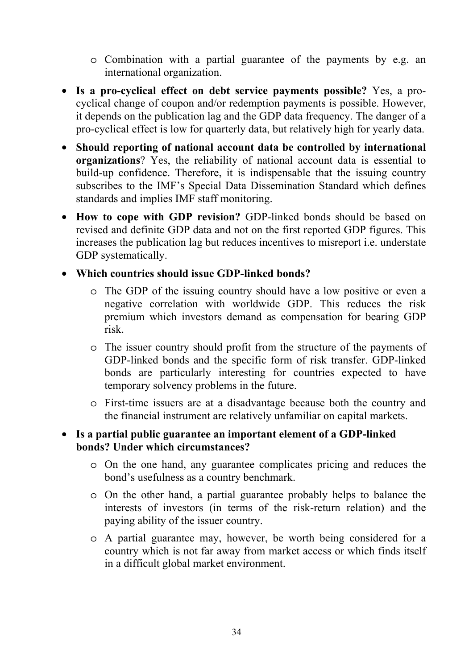- o Combination with a partial guarantee of the payments by e.g. an international organization.
- **Is a pro-cyclical effect on debt service payments possible?** Yes, a procyclical change of coupon and/or redemption payments is possible. However, it depends on the publication lag and the GDP data frequency. The danger of a pro-cyclical effect is low for quarterly data, but relatively high for yearly data.
- **Should reporting of national account data be controlled by international organizations**? Yes, the reliability of national account data is essential to build-up confidence. Therefore, it is indispensable that the issuing country subscribes to the IMF's Special Data Dissemination Standard which defines standards and implies IMF staff monitoring.
- **How to cope with GDP revision?** GDP-linked bonds should be based on revised and definite GDP data and not on the first reported GDP figures. This increases the publication lag but reduces incentives to misreport i.e. understate GDP systematically.

### • **Which countries should issue GDP-linked bonds?**

- o The GDP of the issuing country should have a low positive or even a negative correlation with worldwide GDP. This reduces the risk premium which investors demand as compensation for bearing GDP risk.
- o The issuer country should profit from the structure of the payments of GDP-linked bonds and the specific form of risk transfer. GDP-linked bonds are particularly interesting for countries expected to have temporary solvency problems in the future.
- o First-time issuers are at a disadvantage because both the country and the financial instrument are relatively unfamiliar on capital markets.

#### • **Is a partial public guarantee an important element of a GDP-linked bonds? Under which circumstances?**

- o On the one hand, any guarantee complicates pricing and reduces the bond's usefulness as a country benchmark.
- o On the other hand, a partial guarantee probably helps to balance the interests of investors (in terms of the risk-return relation) and the paying ability of the issuer country.
- o A partial guarantee may, however, be worth being considered for a country which is not far away from market access or which finds itself in a difficult global market environment.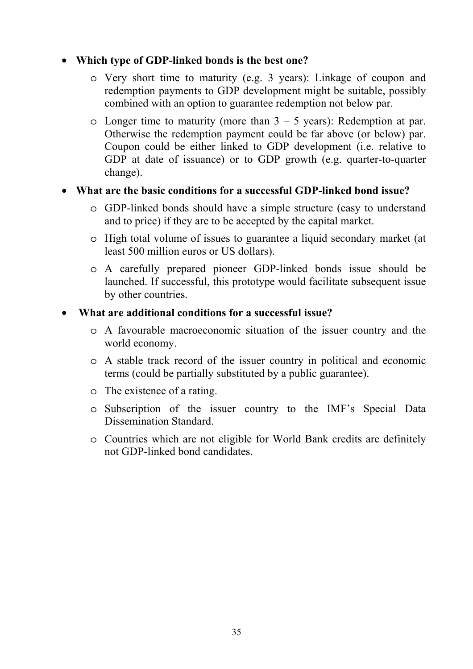#### • **Which type of GDP-linked bonds is the best one?**

- o Very short time to maturity (e.g. 3 years): Linkage of coupon and redemption payments to GDP development might be suitable, possibly combined with an option to guarantee redemption not below par.
- $\circ$  Longer time to maturity (more than  $3 5$  years): Redemption at par. Otherwise the redemption payment could be far above (or below) par. Coupon could be either linked to GDP development (i.e. relative to GDP at date of issuance) or to GDP growth (e.g. quarter-to-quarter change).

#### • **What are the basic conditions for a successful GDP-linked bond issue?**

- o GDP-linked bonds should have a simple structure (easy to understand and to price) if they are to be accepted by the capital market.
- o High total volume of issues to guarantee a liquid secondary market (at least 500 million euros or US dollars).
- o A carefully prepared pioneer GDP-linked bonds issue should be launched. If successful, this prototype would facilitate subsequent issue by other countries.

#### • **What are additional conditions for a successful issue?**

- o A favourable macroeconomic situation of the issuer country and the world economy.
- o A stable track record of the issuer country in political and economic terms (could be partially substituted by a public guarantee).
- o The existence of a rating.
- o Subscription of the issuer country to the IMF's Special Data Dissemination Standard.
- o Countries which are not eligible for World Bank credits are definitely not GDP-linked bond candidates.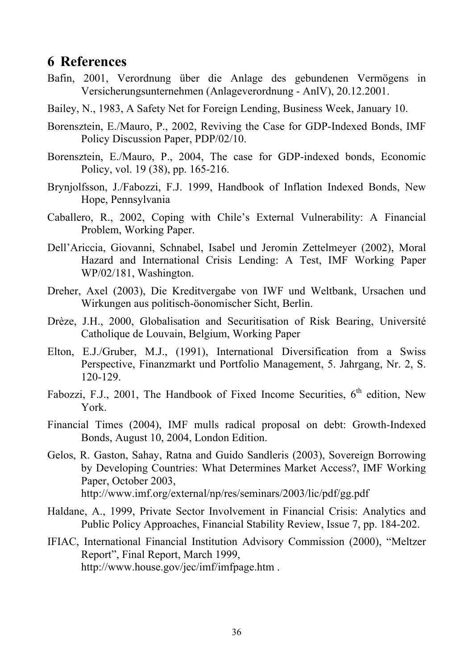### **6 References**

- Bafin, 2001, Verordnung über die Anlage des gebundenen Vermögens in Versicherungsunternehmen (Anlageverordnung - AnlV), 20.12.2001.
- Bailey, N., 1983, A Safety Net for Foreign Lending, Business Week, January 10.
- Borensztein, E./Mauro, P., 2002, Reviving the Case for GDP-Indexed Bonds, IMF Policy Discussion Paper, PDP/02/10.
- Borensztein, E./Mauro, P., 2004, The case for GDP-indexed bonds, Economic Policy, vol. 19 (38), pp. 165-216.
- Brynjolfsson, J./Fabozzi, F.J. 1999, Handbook of Inflation Indexed Bonds, New Hope, Pennsylvania
- Caballero, R., 2002, Coping with Chile's External Vulnerability: A Financial Problem, Working Paper.
- Dell'Ariccia, Giovanni, Schnabel, Isabel und Jeromin Zettelmeyer (2002), Moral Hazard and International Crisis Lending: A Test, IMF Working Paper WP/02/181, Washington.
- Dreher, Axel (2003), Die Kreditvergabe von IWF und Weltbank, Ursachen und Wirkungen aus politisch-öonomischer Sicht, Berlin.
- Drèze, J.H., 2000, Globalisation and Securitisation of Risk Bearing, Université Catholique de Louvain, Belgium, Working Paper
- Elton, E.J./Gruber, M.J., (1991), International Diversification from a Swiss Perspective, Finanzmarkt und Portfolio Management, 5. Jahrgang, Nr. 2, S. 120-129.
- Fabozzi, F.J., 2001, The Handbook of Fixed Income Securities,  $6<sup>th</sup>$  edition, New York.
- Financial Times (2004), IMF mulls radical proposal on debt: Growth-Indexed Bonds, August 10, 2004, London Edition.
- Gelos, R. Gaston, Sahay, Ratna and Guido Sandleris (2003), Sovereign Borrowing by Developing Countries: What Determines Market Access?, IMF Working Paper, October 2003, http://www.imf.org/external/np/res/seminars/2003/lic/pdf/gg.pdf
- Haldane, A., 1999, Private Sector Involvement in Financial Crisis: Analytics and Public Policy Approaches, Financial Stability Review, Issue 7, pp. 184-202.
- IFIAC, International Financial Institution Advisory Commission (2000), "Meltzer Report", Final Report, March 1999, http://www.house.gov/jec/imf/imfpage.htm .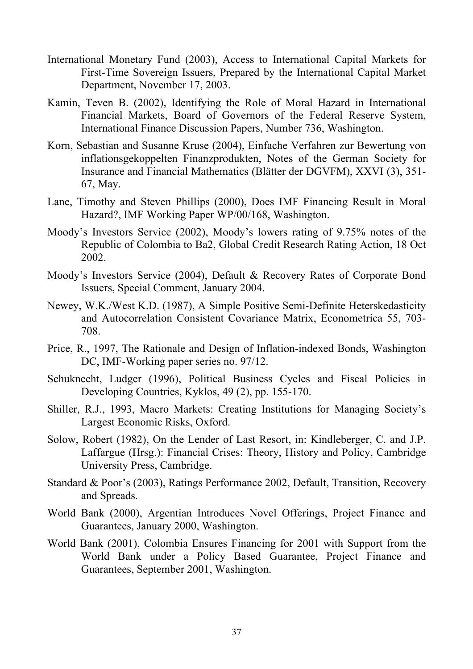- International Monetary Fund (2003), Access to International Capital Markets for First-Time Sovereign Issuers, Prepared by the International Capital Market Department, November 17, 2003.
- Kamin, Teven B. (2002), Identifying the Role of Moral Hazard in International Financial Markets, Board of Governors of the Federal Reserve System, International Finance Discussion Papers, Number 736, Washington.
- Korn, Sebastian and Susanne Kruse (2004), Einfache Verfahren zur Bewertung von inflationsgekoppelten Finanzprodukten, Notes of the German Society for Insurance and Financial Mathematics (Blätter der DGVFM), XXVI (3), 351- 67, May.
- Lane, Timothy and Steven Phillips (2000), Does IMF Financing Result in Moral Hazard?, IMF Working Paper WP/00/168, Washington.
- Moody's Investors Service (2002), Moody's lowers rating of 9.75% notes of the Republic of Colombia to Ba2, Global Credit Research Rating Action, 18 Oct 2002.
- Moody's Investors Service (2004), Default & Recovery Rates of Corporate Bond Issuers, Special Comment, January 2004.
- Newey, W.K./West K.D. (1987), A Simple Positive Semi-Definite Heterskedasticity and Autocorrelation Consistent Covariance Matrix, Econometrica 55, 703- 708.
- Price, R., 1997, The Rationale and Design of Inflation-indexed Bonds, Washington DC, IMF-Working paper series no. 97/12.
- Schuknecht, Ludger (1996), Political Business Cycles and Fiscal Policies in Developing Countries, Kyklos, 49 (2), pp. 155-170.
- Shiller, R.J., 1993, Macro Markets: Creating Institutions for Managing Society's Largest Economic Risks, Oxford.
- Solow, Robert (1982), On the Lender of Last Resort, in: Kindleberger, C. and J.P. Laffargue (Hrsg.): Financial Crises: Theory, History and Policy, Cambridge University Press, Cambridge.
- Standard & Poor's (2003), Ratings Performance 2002, Default, Transition, Recovery and Spreads.
- World Bank (2000), Argentian Introduces Novel Offerings, Project Finance and Guarantees, January 2000, Washington.
- World Bank (2001), Colombia Ensures Financing for 2001 with Support from the World Bank under a Policy Based Guarantee, Project Finance and Guarantees, September 2001, Washington.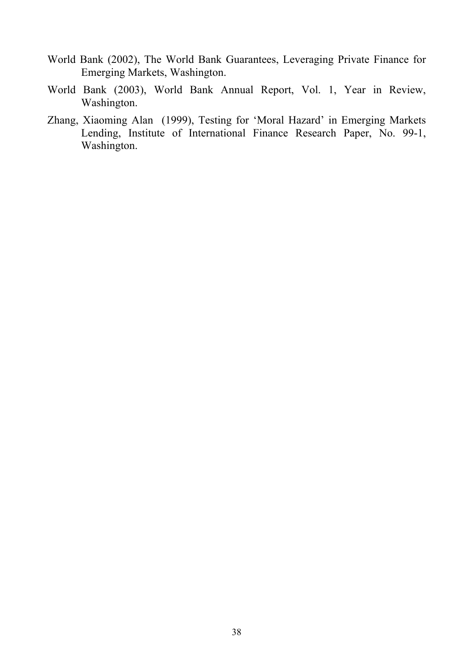- World Bank (2002), The World Bank Guarantees, Leveraging Private Finance for Emerging Markets, Washington.
- World Bank (2003), World Bank Annual Report, Vol. 1, Year in Review, Washington.
- Zhang, Xiaoming Alan (1999), Testing for 'Moral Hazard' in Emerging Markets Lending, Institute of International Finance Research Paper, No. 99-1, Washington.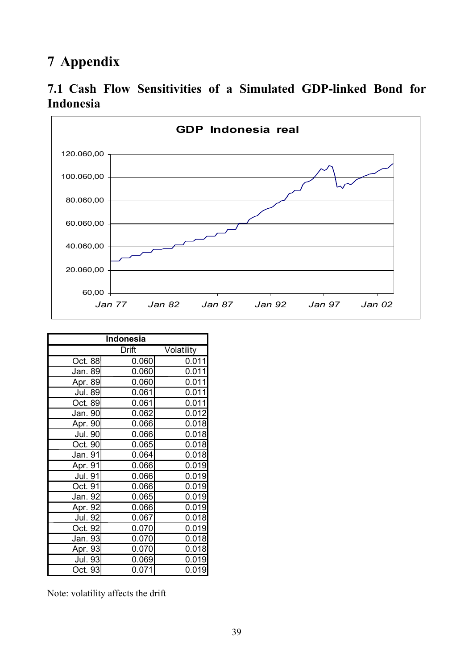# **7 Appendix**





| Indonesia      |       |            |  |  |  |
|----------------|-------|------------|--|--|--|
|                | Drift | Volatility |  |  |  |
| Oct. 88        | 0.060 | 0.011      |  |  |  |
| Jan. 89        | 0.060 | 0.011      |  |  |  |
| <u>Apr.</u> 89 | 0.060 | 0.011      |  |  |  |
| <b>Jul. 89</b> | 0.061 | 0.011      |  |  |  |
| Oct. 89        | 0.061 | 0.011      |  |  |  |
| Jan. 90        | 0.062 | 0.012      |  |  |  |
| Apr. 90        | 0.066 | 0.018      |  |  |  |
| Jul. 90        | 0.066 | 0.018      |  |  |  |
| Oct. 90        | 0.065 | 0.018      |  |  |  |
| Jan. 91        | 0.064 | 0.018      |  |  |  |
| Apr. 91        | 0.066 | 0.019      |  |  |  |
| Jul. 91        | 0.066 | 0.019      |  |  |  |
| Oct. 91        | 0.066 | 0.019      |  |  |  |
| Jan. 92        | 0.065 | 0.019      |  |  |  |
| Apr. 92        | 0.066 | 0.019      |  |  |  |
| Jul. 92        | 0.067 | 0.018      |  |  |  |
| Oct. 92        | 0.070 | 0.019      |  |  |  |
| Jan. 93        | 0.070 | 0.018      |  |  |  |
| Apr. 93        | 0.070 | 0.018      |  |  |  |
| Jul. 93        | 0.069 | 0.019      |  |  |  |
| Oct. 93        | 0.071 | 0.019      |  |  |  |

Note: volatility affects the drift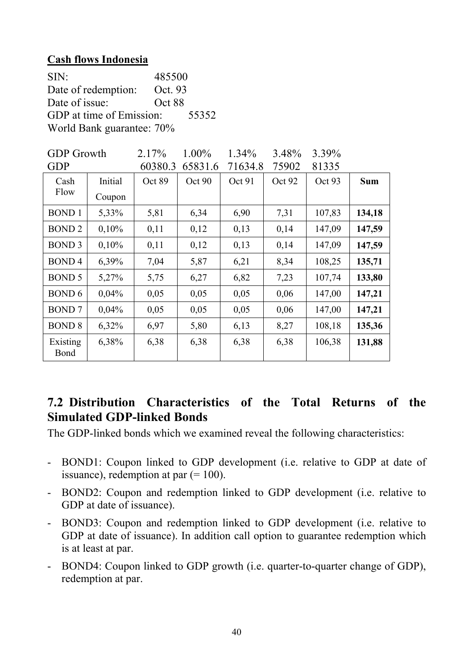#### **Cash flows Indonesia**

| SIN:                      | 485500  |       |  |  |  |
|---------------------------|---------|-------|--|--|--|
| Date of redemption:       | Oct. 93 |       |  |  |  |
| Date of issue:            | Oct 88  |       |  |  |  |
| GDP at time of Emission:  |         | 55352 |  |  |  |
| World Bank guarantee: 70% |         |       |  |  |  |

| <b>GDP</b> Growth |         | 2.17%   | 1.00%   | 1.34%   | 3.48%  | 3.39%  |            |
|-------------------|---------|---------|---------|---------|--------|--------|------------|
| <b>GDP</b>        |         | 60380.3 | 65831.6 | 71634.8 | 75902  | 81335  |            |
| Cash              | Initial | Oct 89  | Oct 90  | Oct 91  | Oct 92 | Oct 93 | <b>Sum</b> |
| Flow              | Coupon  |         |         |         |        |        |            |
| <b>BOND1</b>      | 5,33%   | 5,81    | 6,34    | 6,90    | 7,31   | 107,83 | 134,18     |
| <b>BOND 2</b>     | 0,10%   | 0,11    | 0,12    | 0,13    | 0,14   | 147,09 | 147,59     |
| BOND <sub>3</sub> | 0,10%   | 0,11    | 0,12    | 0,13    | 0,14   | 147,09 | 147,59     |
| <b>BOND4</b>      | 6,39%   | 7,04    | 5,87    | 6,21    | 8,34   | 108,25 | 135,71     |
| BOND 5            | 5,27%   | 5,75    | 6,27    | 6,82    | 7,23   | 107,74 | 133,80     |
| BOND 6            | 0,04%   | 0,05    | 0,05    | 0,05    | 0,06   | 147,00 | 147,21     |
| <b>BOND7</b>      | 0,04%   | 0,05    | 0,05    | 0,05    | 0,06   | 147,00 | 147,21     |
| <b>BOND 8</b>     | 6,32%   | 6,97    | 5,80    | 6,13    | 8,27   | 108,18 | 135,36     |
| Existing<br>Bond  | 6,38%   | 6,38    | 6,38    | 6,38    | 6,38   | 106,38 | 131,88     |

### **7.2 Distribution Characteristics of the Total Returns of the Simulated GDP-linked Bonds**

The GDP-linked bonds which we examined reveal the following characteristics:

- BOND1: Coupon linked to GDP development (i.e. relative to GDP at date of issuance), redemption at par  $(=100)$ .
- BOND2: Coupon and redemption linked to GDP development (i.e. relative to GDP at date of issuance).
- BOND3: Coupon and redemption linked to GDP development (i.e. relative to GDP at date of issuance). In addition call option to guarantee redemption which is at least at par.
- BOND4: Coupon linked to GDP growth (i.e. quarter-to-quarter change of GDP), redemption at par.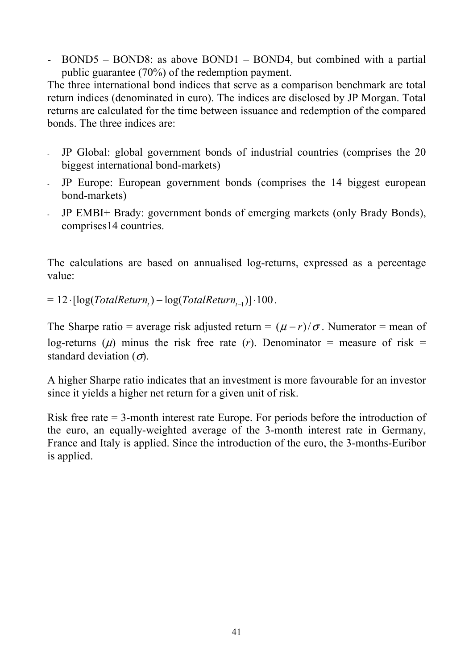- BOND5 – BOND8: as above BOND1 – BOND4, but combined with a partial public guarantee (70%) of the redemption payment.

The three international bond indices that serve as a comparison benchmark are total return indices (denominated in euro). The indices are disclosed by JP Morgan. Total returns are calculated for the time between issuance and redemption of the compared bonds. The three indices are:

- JP Global: global government bonds of industrial countries (comprises the 20 biggest international bond-markets)
- JP Europe: European government bonds (comprises the 14 biggest european bond-markets)
- JP EMBI+ Brady: government bonds of emerging markets (only Brady Bonds), comprises14 countries.

The calculations are based on annualised log-returns, expressed as a percentage value:

 $= 12 \cdot \left[ \log(TotalReturn_r) - \log(TotalReturn_{t-1}) \right] \cdot 100$ .

The Sharpe ratio = average risk adjusted return =  $(\mu - r)/\sigma$ . Numerator = mean of log-returns ( $\mu$ ) minus the risk free rate (*r*). Denominator = measure of risk = standard deviation  $(\sigma)$ .

A higher Sharpe ratio indicates that an investment is more favourable for an investor since it yields a higher net return for a given unit of risk.

Risk free rate = 3-month interest rate Europe. For periods before the introduction of the euro, an equally-weighted average of the 3-month interest rate in Germany, France and Italy is applied. Since the introduction of the euro, the 3-months-Euribor is applied.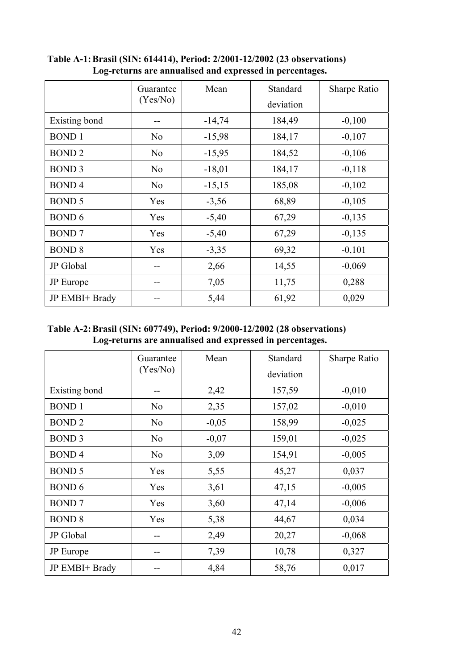|                  | Guarantee      | Mean     | Standard  | Sharpe Ratio |
|------------------|----------------|----------|-----------|--------------|
|                  | (Yes/No)       |          | deviation |              |
| Existing bond    |                | $-14,74$ | 184,49    | $-0,100$     |
| <b>BOND1</b>     | N <sub>o</sub> | $-15,98$ | 184,17    | $-0,107$     |
| <b>BOND2</b>     | N <sub>o</sub> | $-15,95$ | 184,52    | $-0,106$     |
| <b>BOND 3</b>    | N <sub>o</sub> | $-18,01$ | 184,17    | $-0,118$     |
| <b>BOND4</b>     | N <sub>o</sub> | $-15,15$ | 185,08    | $-0,102$     |
| <b>BOND 5</b>    | Yes            | $-3,56$  | 68,89     | $-0,105$     |
| <b>BOND 6</b>    | Yes            | $-5,40$  | 67,29     | $-0,135$     |
| <b>BOND7</b>     | Yes            | $-5,40$  | 67,29     | $-0,135$     |
| <b>BOND 8</b>    | Yes            | $-3,35$  | 69,32     | $-0,101$     |
| JP Global        | --             | 2,66     | 14,55     | $-0,069$     |
| <b>JP</b> Europe |                | 7,05     | 11,75     | 0,288        |
| JP EMBI+ Brady   |                | 5,44     | 61,92     | 0,029        |

**Table A-1: Brasil (SIN: 614414), Period: 2/2001-12/2002 (23 observations) Log-returns are annualised and expressed in percentages.** 

**Table A-2: Brasil (SIN: 607749), Period: 9/2000-12/2002 (28 observations) Log-returns are annualised and expressed in percentages.** 

|                  | Guarantee      | Mean    | Standard  | Sharpe Ratio |
|------------------|----------------|---------|-----------|--------------|
|                  | (Yes/No)       |         | deviation |              |
| Existing bond    |                | 2,42    | 157,59    | $-0,010$     |
| <b>BOND1</b>     | N <sub>0</sub> | 2,35    | 157,02    | $-0,010$     |
| <b>BOND2</b>     | N <sub>o</sub> | $-0,05$ | 158,99    | $-0,025$     |
| <b>BOND 3</b>    | N <sub>0</sub> | $-0,07$ | 159,01    | $-0,025$     |
| <b>BOND4</b>     | N <sub>o</sub> | 3,09    | 154,91    | $-0,005$     |
| <b>BOND 5</b>    | Yes            | 5,55    | 45,27     | 0,037        |
| <b>BOND 6</b>    | Yes            | 3,61    | 47,15     | $-0,005$     |
| <b>BOND7</b>     | Yes            | 3,60    | 47,14     | $-0,006$     |
| <b>BOND 8</b>    | Yes            | 5,38    | 44,67     | 0,034        |
| JP Global        | --             | 2,49    | 20,27     | $-0,068$     |
| <b>JP</b> Europe |                | 7,39    | 10,78     | 0,327        |
| JP EMBI+ Brady   |                | 4,84    | 58,76     | 0,017        |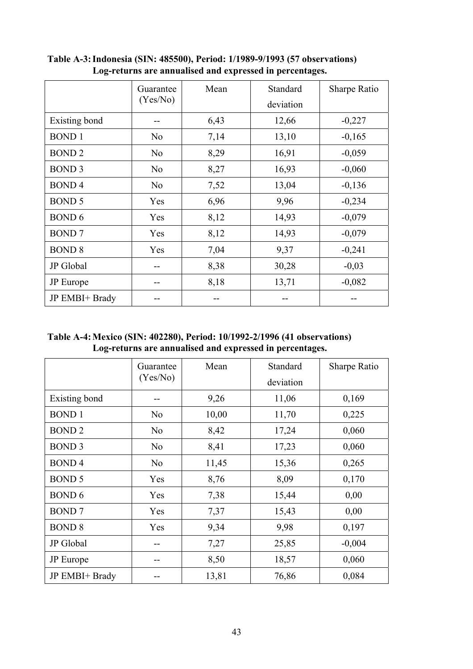|                  | Guarantee      | Mean | Standard  | <b>Sharpe Ratio</b> |
|------------------|----------------|------|-----------|---------------------|
|                  | (Yes/No)       |      | deviation |                     |
| Existing bond    |                | 6,43 | 12,66     | $-0,227$            |
| <b>BOND1</b>     | N <sub>o</sub> | 7,14 | 13,10     | $-0,165$            |
| <b>BOND2</b>     | N <sub>0</sub> | 8,29 | 16,91     | $-0,059$            |
| <b>BOND 3</b>    | N <sub>0</sub> | 8,27 | 16,93     | $-0,060$            |
| <b>BOND4</b>     | N <sub>o</sub> | 7,52 | 13,04     | $-0,136$            |
| <b>BOND 5</b>    | Yes            | 6,96 | 9,96      | $-0,234$            |
| <b>BOND 6</b>    | Yes            | 8,12 | 14,93     | $-0,079$            |
| <b>BOND7</b>     | Yes            | 8,12 | 14,93     | $-0,079$            |
| <b>BOND 8</b>    | Yes            | 7,04 | 9,37      | $-0,241$            |
| JP Global        |                | 8,38 | 30,28     | $-0,03$             |
| <b>JP</b> Europe |                | 8,18 | 13,71     | $-0,082$            |
| JP EMBI+ Brady   |                |      | --        |                     |

**Table A-3: Indonesia (SIN: 485500), Period: 1/1989-9/1993 (57 observations) Log-returns are annualised and expressed in percentages.** 

**Table A-4: Mexico (SIN: 402280), Period: 10/1992-2/1996 (41 observations) Log-returns are annualised and expressed in percentages.** 

|                | Guarantee      | Mean  | Standard  | <b>Sharpe Ratio</b> |
|----------------|----------------|-------|-----------|---------------------|
|                | (Yes/No)       |       | deviation |                     |
| Existing bond  | --             | 9,26  | 11,06     | 0,169               |
| <b>BOND1</b>   | N <sub>0</sub> | 10,00 | 11,70     | 0,225               |
| <b>BOND2</b>   | N <sub>0</sub> | 8,42  | 17,24     | 0,060               |
| <b>BOND 3</b>  | N <sub>0</sub> | 8,41  | 17,23     | 0,060               |
| <b>BOND4</b>   | N <sub>0</sub> | 11,45 | 15,36     | 0,265               |
| <b>BOND 5</b>  | Yes            | 8,76  | 8,09      | 0,170               |
| <b>BOND 6</b>  | Yes            | 7,38  | 15,44     | 0,00                |
| <b>BOND7</b>   | Yes            | 7,37  | 15,43     | 0,00                |
| <b>BOND 8</b>  | Yes            | 9,34  | 9,98      | 0,197               |
| JP Global      | --             | 7,27  | 25,85     | $-0,004$            |
| JP Europe      | --             | 8,50  | 18,57     | 0,060               |
| JP EMBI+ Brady |                | 13,81 | 76,86     | 0,084               |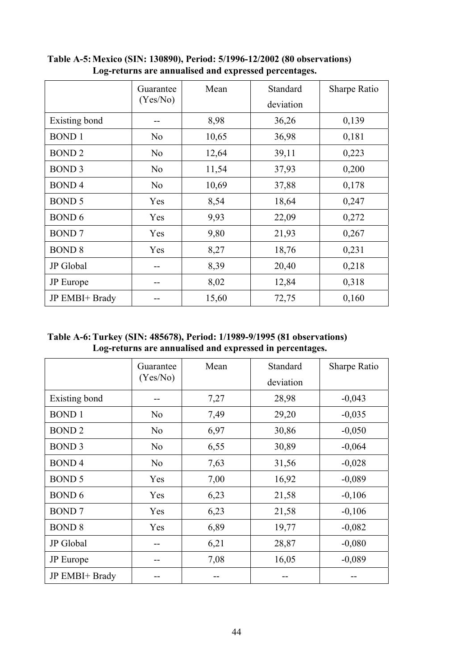|                  | Guarantee      | Mean  | Standard  | <b>Sharpe Ratio</b> |
|------------------|----------------|-------|-----------|---------------------|
|                  | (Yes/No)       |       | deviation |                     |
| Existing bond    | --             | 8,98  | 36,26     | 0,139               |
| <b>BOND1</b>     | N <sub>o</sub> | 10,65 | 36,98     | 0,181               |
| <b>BOND2</b>     | N <sub>o</sub> | 12,64 | 39,11     | 0,223               |
| <b>BOND 3</b>    | N <sub>o</sub> | 11,54 | 37,93     | 0,200               |
| <b>BOND4</b>     | N <sub>o</sub> | 10,69 | 37,88     | 0,178               |
| <b>BOND 5</b>    | Yes            | 8,54  | 18,64     | 0,247               |
| <b>BOND 6</b>    | Yes            | 9,93  | 22,09     | 0,272               |
| <b>BOND7</b>     | Yes            | 9,80  | 21,93     | 0,267               |
| <b>BOND 8</b>    | Yes            | 8,27  | 18,76     | 0,231               |
| JP Global        | --             | 8,39  | 20,40     | 0,218               |
| <b>JP</b> Europe |                | 8,02  | 12,84     | 0,318               |
| JP EMBI+ Brady   |                | 15,60 | 72,75     | 0,160               |

**Table A-5: Mexico (SIN: 130890), Period: 5/1996-12/2002 (80 observations) Log-returns are annualised and expressed percentages.** 

**Table A-6: Turkey (SIN: 485678), Period: 1/1989-9/1995 (81 observations) Log-returns are annualised and expressed in percentages.** 

|                  | Guarantee      | Mean | Standard  | Sharpe Ratio |
|------------------|----------------|------|-----------|--------------|
|                  | (Yes/No)       |      | deviation |              |
| Existing bond    |                | 7,27 | 28,98     | $-0,043$     |
| <b>BOND1</b>     | N <sub>0</sub> | 7,49 | 29,20     | $-0,035$     |
| <b>BOND2</b>     | N <sub>0</sub> | 6,97 | 30,86     | $-0,050$     |
| <b>BOND 3</b>    | N <sub>0</sub> | 6,55 | 30,89     | $-0,064$     |
| <b>BOND4</b>     | N <sub>0</sub> | 7,63 | 31,56     | $-0,028$     |
| <b>BOND 5</b>    | Yes            | 7,00 | 16,92     | $-0,089$     |
| <b>BOND 6</b>    | Yes            | 6,23 | 21,58     | $-0,106$     |
| <b>BOND7</b>     | Yes            | 6,23 | 21,58     | $-0,106$     |
| <b>BOND 8</b>    | Yes            | 6,89 | 19,77     | $-0,082$     |
| JP Global        | --             | 6,21 | 28,87     | $-0,080$     |
| <b>JP</b> Europe | --             | 7,08 | 16,05     | $-0,089$     |
| JP EMBI+ Brady   |                |      |           |              |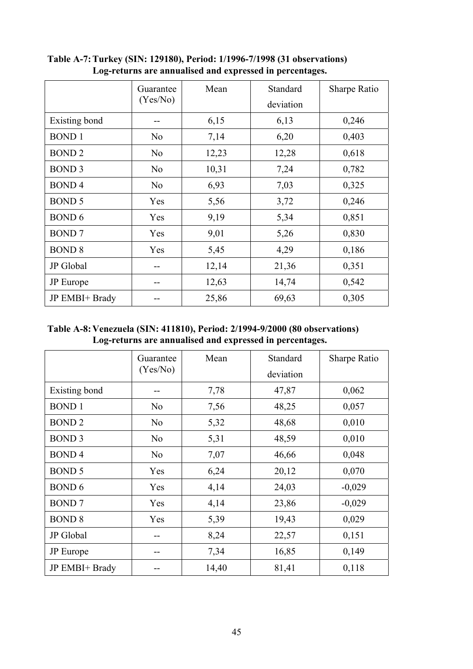|                  | Guarantee      | Mean  | Standard  | Sharpe Ratio |
|------------------|----------------|-------|-----------|--------------|
|                  | (Yes/No)       |       | deviation |              |
| Existing bond    | --             | 6,15  | 6,13      | 0,246        |
| <b>BOND1</b>     | N <sub>o</sub> | 7,14  | 6,20      | 0,403        |
| <b>BOND2</b>     | N <sub>o</sub> | 12,23 | 12,28     | 0,618        |
| <b>BOND 3</b>    | N <sub>o</sub> | 10,31 | 7,24      | 0,782        |
| <b>BOND4</b>     | N <sub>o</sub> | 6,93  | 7,03      | 0,325        |
| <b>BOND 5</b>    | Yes            | 5,56  | 3,72      | 0,246        |
| <b>BOND 6</b>    | Yes            | 9,19  | 5,34      | 0,851        |
| <b>BOND7</b>     | Yes            | 9,01  | 5,26      | 0,830        |
| <b>BOND 8</b>    | Yes            | 5,45  | 4,29      | 0,186        |
| JP Global        | --             | 12,14 | 21,36     | 0,351        |
| <b>JP</b> Europe |                | 12,63 | 14,74     | 0,542        |
| JP EMBI+ Brady   |                | 25,86 | 69,63     | 0,305        |

**Table A-7: Turkey (SIN: 129180), Period: 1/1996-7/1998 (31 observations) Log-returns are annualised and expressed in percentages.** 

**Table A-8: Venezuela (SIN: 411810), Period: 2/1994-9/2000 (80 observations) Log-returns are annualised and expressed in percentages.** 

|                  | Guarantee<br>(Yes/No) | Mean  | Standard  | <b>Sharpe Ratio</b> |
|------------------|-----------------------|-------|-----------|---------------------|
|                  |                       |       | deviation |                     |
| Existing bond    | --                    | 7,78  | 47,87     | 0,062               |
| <b>BOND1</b>     | N <sub>o</sub>        | 7,56  | 48,25     | 0,057               |
| <b>BOND2</b>     | N <sub>o</sub>        | 5,32  | 48,68     | 0,010               |
| <b>BOND 3</b>    | N <sub>o</sub>        | 5,31  | 48,59     | 0,010               |
| <b>BOND4</b>     | N <sub>o</sub>        | 7,07  | 46,66     | 0,048               |
| <b>BOND 5</b>    | Yes                   | 6,24  | 20,12     | 0,070               |
| <b>BOND 6</b>    | Yes                   | 4,14  | 24,03     | $-0,029$            |
| <b>BOND7</b>     | Yes                   | 4,14  | 23,86     | $-0,029$            |
| <b>BOND 8</b>    | Yes                   | 5,39  | 19,43     | 0,029               |
| JP Global        | --                    | 8,24  | 22,57     | 0,151               |
| <b>JP</b> Europe | --                    | 7,34  | 16,85     | 0,149               |
| JP EMBI+ Brady   |                       | 14,40 | 81,41     | 0,118               |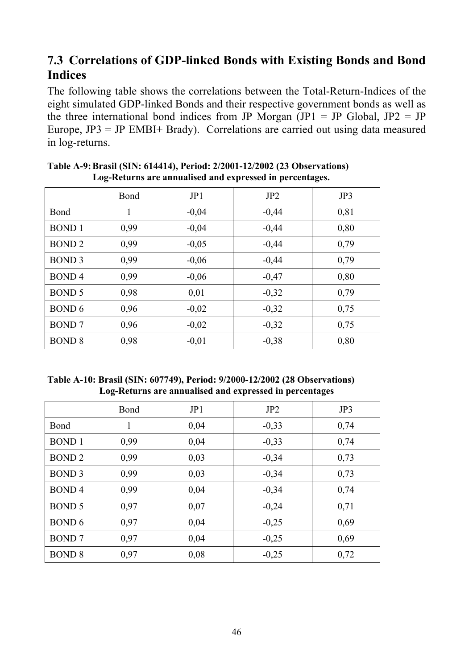### **7.3 Correlations of GDP-linked Bonds with Existing Bonds and Bond Indices**

The following table shows the correlations between the Total-Return-Indices of the eight simulated GDP-linked Bonds and their respective government bonds as well as the three international bond indices from JP Morgan  $(JPI = JP)$  Global,  $JP2 = JP$ Europe,  $JP3 = JP$  EMBI+ Brady). Correlations are carried out using data measured in log-returns.

|               | Bond | JPI     | JP2     | JP3  |
|---------------|------|---------|---------|------|
| Bond          | 1    | $-0,04$ | $-0,44$ | 0,81 |
| <b>BOND1</b>  | 0,99 | $-0,04$ | $-0,44$ | 0,80 |
| <b>BOND2</b>  | 0,99 | $-0,05$ | $-0,44$ | 0,79 |
| <b>BOND 3</b> | 0,99 | $-0,06$ | $-0,44$ | 0,79 |
| <b>BOND4</b>  | 0,99 | $-0,06$ | $-0,47$ | 0,80 |
| <b>BOND 5</b> | 0,98 | 0,01    | $-0,32$ | 0,79 |
| <b>BOND 6</b> | 0,96 | $-0,02$ | $-0,32$ | 0,75 |
| <b>BOND7</b>  | 0,96 | $-0,02$ | $-0,32$ | 0,75 |
| <b>BOND 8</b> | 0,98 | $-0.01$ | $-0,38$ | 0,80 |

**Table A-9: Brasil (SIN: 614414), Period: 2/2001-12/2002 (23 Observations) Log-Returns are annualised and expressed in percentages.** 

**Table A-10: Brasil (SIN: 607749), Period: 9/2000-12/2002 (28 Observations) Log-Returns are annualised and expressed in percentages** 

|               | Bond | JP1  | JP <sub>2</sub> | JP3  |
|---------------|------|------|-----------------|------|
| Bond          | 1    | 0,04 | $-0,33$         | 0,74 |
| <b>BOND1</b>  | 0,99 | 0,04 | $-0,33$         | 0,74 |
| <b>BOND2</b>  | 0,99 | 0,03 | $-0,34$         | 0,73 |
| <b>BOND 3</b> | 0,99 | 0,03 | $-0,34$         | 0,73 |
| <b>BOND4</b>  | 0.99 | 0,04 | $-0,34$         | 0,74 |
| <b>BOND 5</b> | 0,97 | 0,07 | $-0,24$         | 0,71 |
| <b>BOND 6</b> | 0,97 | 0,04 | $-0,25$         | 0,69 |
| <b>BOND7</b>  | 0,97 | 0,04 | $-0,25$         | 0,69 |
| <b>BOND 8</b> | 0,97 | 0,08 | $-0,25$         | 0,72 |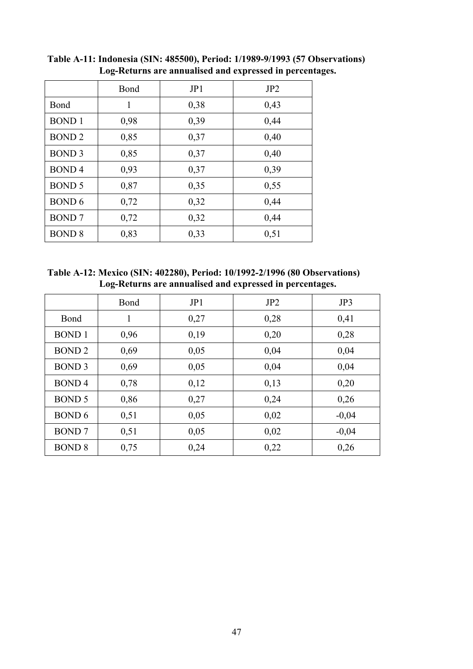|               | Bond | JP1  | JP <sub>2</sub> |
|---------------|------|------|-----------------|
| Bond          | 1    | 0,38 | 0,43            |
| <b>BOND1</b>  | 0,98 | 0,39 | 0,44            |
| <b>BOND2</b>  | 0,85 | 0,37 | 0,40            |
| <b>BOND 3</b> | 0,85 | 0,37 | 0,40            |
| <b>BOND4</b>  | 0,93 | 0,37 | 0,39            |
| <b>BOND 5</b> | 0,87 | 0,35 | 0,55            |
| <b>BOND 6</b> | 0,72 | 0,32 | 0,44            |
| <b>BOND7</b>  | 0,72 | 0,32 | 0,44            |
| <b>BOND 8</b> | 0,83 | 0,33 | 0,51            |

**Table A-11: Indonesia (SIN: 485500), Period: 1/1989-9/1993 (57 Observations) Log-Returns are annualised and expressed in percentages.** 

**Table A-12: Mexico (SIN: 402280), Period: 10/1992-2/1996 (80 Observations) Log-Returns are annualised and expressed in percentages.** 

|               | Bond | JP1  | JP <sub>2</sub> | JP3     |
|---------------|------|------|-----------------|---------|
| Bond          | 1    | 0,27 | 0,28            | 0,41    |
| <b>BOND1</b>  | 0,96 | 0,19 | 0,20            | 0,28    |
| <b>BOND2</b>  | 0,69 | 0,05 | 0,04            | 0,04    |
| <b>BOND 3</b> | 0,69 | 0,05 | 0,04            | 0,04    |
| <b>BOND4</b>  | 0,78 | 0,12 | 0,13            | 0,20    |
| <b>BOND 5</b> | 0,86 | 0,27 | 0,24            | 0,26    |
| <b>BOND 6</b> | 0,51 | 0,05 | 0,02            | $-0,04$ |
| <b>BOND7</b>  | 0,51 | 0,05 | 0,02            | $-0,04$ |
| <b>BOND 8</b> | 0,75 | 0,24 | 0,22            | 0,26    |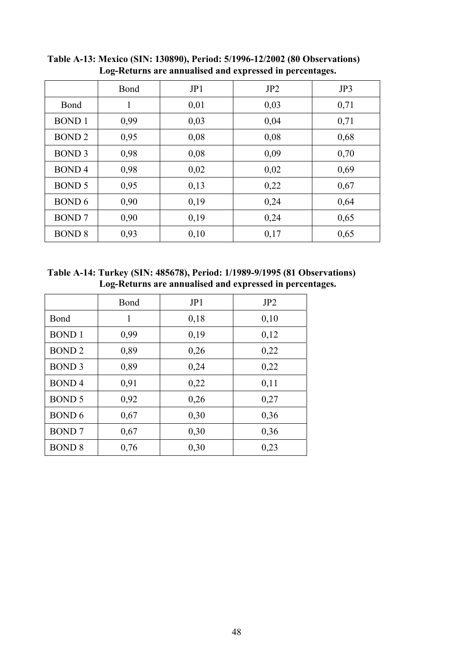|               | Bond | JP1  | JP2  | JP3  |
|---------------|------|------|------|------|
| Bond          | 1    | 0,01 | 0,03 | 0,71 |
| <b>BOND1</b>  | 0,99 | 0,03 | 0,04 | 0,71 |
| <b>BOND2</b>  | 0,95 | 0,08 | 0,08 | 0,68 |
| <b>BOND 3</b> | 0,98 | 0,08 | 0,09 | 0,70 |
| <b>BOND4</b>  | 0,98 | 0,02 | 0,02 | 0,69 |
| <b>BOND 5</b> | 0,95 | 0,13 | 0,22 | 0,67 |
| <b>BOND 6</b> | 0,90 | 0,19 | 0,24 | 0,64 |
| <b>BOND7</b>  | 0,90 | 0,19 | 0,24 | 0,65 |
| <b>BOND 8</b> | 0,93 | 0,10 | 0,17 | 0,65 |

**Table A-13: Mexico (SIN: 130890), Period: 5/1996-12/2002 (80 Observations) Log-Returns are annualised and expressed in percentages.** 

**Table A-14: Turkey (SIN: 485678), Period: 1/1989-9/1995 (81 Observations) Log-Returns are annualised and expressed in percentages.** 

|               | Bond | JP1  | JP2  |
|---------------|------|------|------|
| Bond          | 1    | 0,18 | 0,10 |
| <b>BOND1</b>  | 0,99 | 0,19 | 0,12 |
| <b>BOND2</b>  | 0,89 | 0,26 | 0,22 |
| <b>BOND 3</b> | 0,89 | 0,24 | 0,22 |
| <b>BOND4</b>  | 0,91 | 0,22 | 0,11 |
| <b>BOND 5</b> | 0,92 | 0,26 | 0,27 |
| <b>BOND 6</b> | 0,67 | 0,30 | 0,36 |
| <b>BOND7</b>  | 0,67 | 0,30 | 0,36 |
| <b>BOND 8</b> | 0,76 | 0,30 | 0,23 |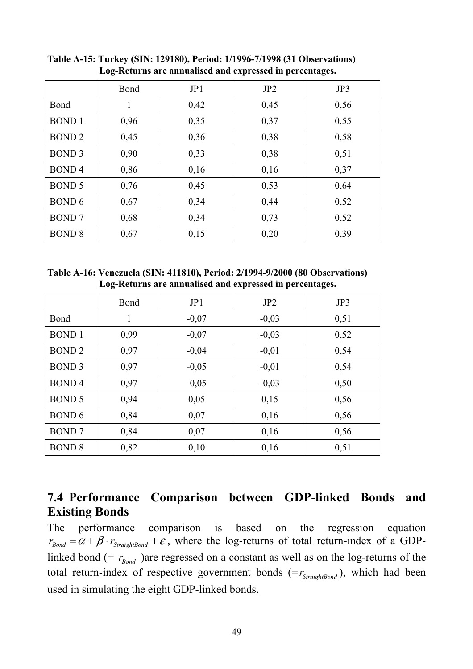|               | Bond | JP1  | JP2  | JP3  |
|---------------|------|------|------|------|
| Bond          | 1    | 0,42 | 0,45 | 0,56 |
| <b>BOND1</b>  | 0,96 | 0,35 | 0,37 | 0,55 |
| <b>BOND2</b>  | 0,45 | 0,36 | 0,38 | 0,58 |
| <b>BOND 3</b> | 0,90 | 0,33 | 0,38 | 0,51 |
| <b>BOND4</b>  | 0,86 | 0,16 | 0,16 | 0,37 |
| <b>BOND 5</b> | 0,76 | 0,45 | 0,53 | 0,64 |
| <b>BOND 6</b> | 0,67 | 0,34 | 0,44 | 0,52 |
| <b>BOND7</b>  | 0,68 | 0,34 | 0,73 | 0,52 |
| <b>BOND 8</b> | 0,67 | 0,15 | 0,20 | 0,39 |

**Table A-15: Turkey (SIN: 129180), Period: 1/1996-7/1998 (31 Observations) Log-Returns are annualised and expressed in percentages.** 

**Table A-16: Venezuela (SIN: 411810), Period: 2/1994-9/2000 (80 Observations) Log-Returns are annualised and expressed in percentages.** 

|               | Bond | JP1     | JP2     | JP3  |
|---------------|------|---------|---------|------|
| Bond          | 1    | $-0,07$ | $-0,03$ | 0,51 |
| <b>BOND1</b>  | 0.99 | $-0.07$ | $-0,03$ | 0,52 |
| <b>BOND2</b>  | 0,97 | $-0,04$ | $-0,01$ | 0,54 |
| <b>BOND 3</b> | 0,97 | $-0,05$ | $-0,01$ | 0,54 |
| <b>BOND4</b>  | 0,97 | $-0,05$ | $-0,03$ | 0,50 |
| <b>BOND 5</b> | 0,94 | 0,05    | 0,15    | 0,56 |
| <b>BOND 6</b> | 0,84 | 0,07    | 0,16    | 0,56 |
| <b>BOND7</b>  | 0,84 | 0,07    | 0,16    | 0,56 |
| <b>BOND 8</b> | 0,82 | 0,10    | 0,16    | 0,51 |

### **7.4 Performance Comparison between GDP-linked Bonds and Existing Bonds**

The performance comparison is based on the regression equation  $r_{Bond} = \alpha + \beta \cdot r_{StraighBond} + \varepsilon$ , where the log-returns of total return-index of a GDPlinked bond (=  $r_{\text{Bond}}$ ) are regressed on a constant as well as on the log-returns of the total return-index of respective government bonds  $(= r_{\text{StraightBond}})$ , which had been used in simulating the eight GDP-linked bonds.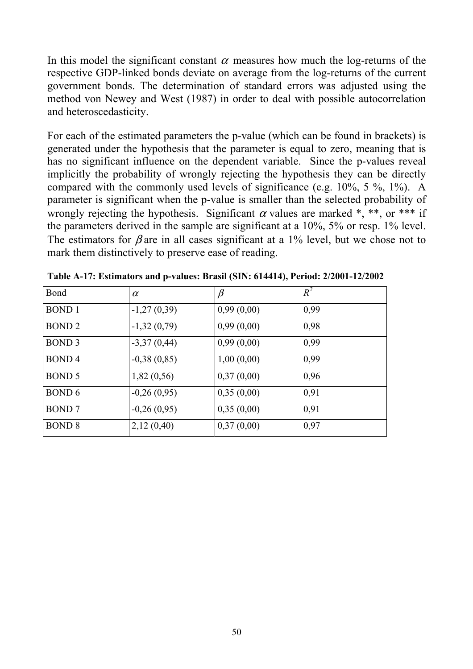In this model the significant constant  $\alpha$  measures how much the log-returns of the respective GDP-linked bonds deviate on average from the log-returns of the current government bonds. The determination of standard errors was adjusted using the method von Newey and West (1987) in order to deal with possible autocorrelation and heteroscedasticity.

For each of the estimated parameters the p-value (which can be found in brackets) is generated under the hypothesis that the parameter is equal to zero, meaning that is has no significant influence on the dependent variable. Since the p-values reveal implicitly the probability of wrongly rejecting the hypothesis they can be directly compared with the commonly used levels of significance (e.g. 10%, 5 %, 1%). A parameter is significant when the p-value is smaller than the selected probability of wrongly rejecting the hypothesis. Significant  $\alpha$  values are marked \*, \*\*, or \*\*\* if the parameters derived in the sample are significant at a 10%, 5% or resp. 1% level. The estimators for  $\beta$  are in all cases significant at a 1% level, but we chose not to mark them distinctively to preserve ease of reading.

| Bond              | $\alpha$      | $\beta$    | $R^2$ |
|-------------------|---------------|------------|-------|
| <b>BOND1</b>      | $-1,27(0,39)$ | 0,99(0,00) | 0,99  |
| BOND <sub>2</sub> | $-1,32(0,79)$ | 0,99(0,00) | 0,98  |
| <b>BOND 3</b>     | $-3,37(0,44)$ | 0,99(0,00) | 0,99  |
| BOND <sub>4</sub> | $-0,38(0,85)$ | 1,00(0,00) | 0,99  |
| <b>BOND 5</b>     | 1,82(0,56)    | 0,37(0,00) | 0,96  |
| BOND 6            | $-0,26(0,95)$ | 0,35(0,00) | 0,91  |
| <b>BOND</b> 7     | $-0,26(0,95)$ | 0,35(0,00) | 0,91  |
| <b>BOND 8</b>     | 2,12(0,40)    | 0,37(0,00) | 0,97  |

**Table A-17: Estimators and p-values: Brasil (SIN: 614414), Period: 2/2001-12/2002**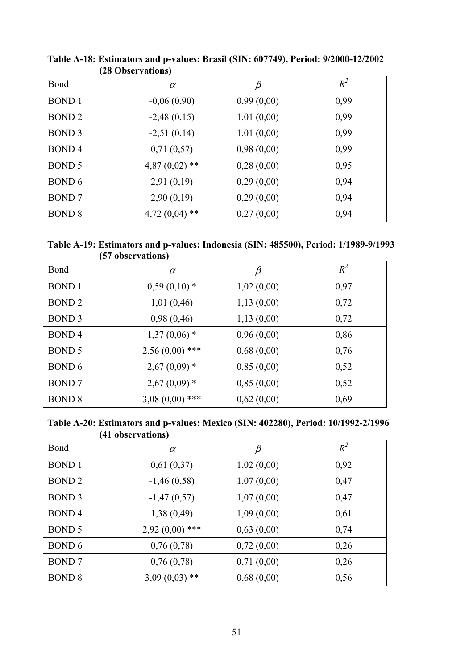|                   | $\boldsymbol{\mu}$ o observations |            |       |
|-------------------|-----------------------------------|------------|-------|
| Bond              | $\alpha$                          | $\beta$    | $R^2$ |
| <b>BOND</b> 1     | $-0,06(0,90)$                     | 0,99(0,00) | 0,99  |
| <b>BOND 2</b>     | $-2,48(0,15)$                     | 1,01(0,00) | 0,99  |
| BOND <sub>3</sub> | $-2,51(0,14)$                     | 1,01(0,00) | 0,99  |
| BOND <sub>4</sub> | 0,71(0,57)                        | 0,98(0,00) | 0,99  |
| BOND 5            | $4,87(0,02)$ **                   | 0,28(0,00) | 0,95  |
| BOND 6            | 2,91(0,19)                        | 0,29(0,00) | 0,94  |
| <b>BOND</b> 7     | 2,90(0,19)                        | 0,29(0,00) | 0,94  |
| <b>BOND 8</b>     | $4,72(0,04)$ **                   | 0,27(0,00) | 0,94  |

**Table A-18: Estimators and p-values: Brasil (SIN: 607749), Period: 9/2000-12/2002 (28 Observations)** 

| Table A-19: Estimators and p-values: Indonesia (SIN: 485500), Period: 1/1989-9/1993 |  |  |
|-------------------------------------------------------------------------------------|--|--|
| (57 observations)                                                                   |  |  |

| Bond              | $\alpha$         | $\beta$    | $R^2$ |
|-------------------|------------------|------------|-------|
| <b>BOND</b> 1     | $0,59(0,10)*$    | 1,02(0,00) | 0,97  |
| <b>BOND 2</b>     | 1,01(0,46)       | 1,13(0,00) | 0,72  |
| BOND <sub>3</sub> | 0,98(0,46)       | 1,13(0,00) | 0,72  |
| <b>BOND4</b>      | $1,37(0,06)$ *   | 0,96(0,00) | 0,86  |
| <b>BOND 5</b>     | $2,56(0,00)$ *** | 0,68(0,00) | 0,76  |
| BOND 6            | $2,67(0,09)$ *   | 0,85(0,00) | 0,52  |
| <b>BOND7</b>      | $2,67(0,09)$ *   | 0,85(0,00) | 0,52  |
| <b>BOND 8</b>     | $3,08(0,00)$ *** | 0,62(0,00) | 0,69  |

**Table A-20: Estimators and p-values: Mexico (SIN: 402280), Period: 10/1992-2/1996 (41 observations)** 

| Bond              | $\alpha$         | $\beta$    | $R^2$ |
|-------------------|------------------|------------|-------|
| <b>BOND</b> 1     | 0,61(0,37)       | 1,02(0,00) | 0,92  |
| BOND <sub>2</sub> | $-1,46(0,58)$    | 1,07(0,00) | 0,47  |
| BOND <sub>3</sub> | $-1,47(0,57)$    | 1,07(0,00) | 0,47  |
| <b>BOND4</b>      | 1,38(0,49)       | 1,09(0,00) | 0,61  |
| BOND 5            | $2,92(0,00)$ *** | 0,63(0,00) | 0,74  |
| <b>BOND 6</b>     | 0,76(0,78)       | 0,72(0,00) | 0,26  |
| <b>BOND7</b>      | 0,76(0,78)       | 0,71(0,00) | 0,26  |
| <b>BOND 8</b>     | $3,09(0,03)$ **  | 0,68(0,00) | 0,56  |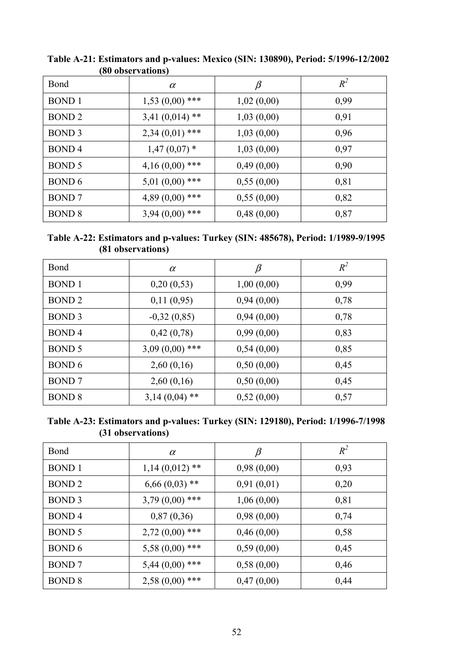|                   | TOO ODSCE TRUIDIIST |            |       |
|-------------------|---------------------|------------|-------|
| Bond              | $\alpha$            | $\beta$    | $R^2$ |
| <b>BOND</b> 1     | $1,53(0,00)$ ***    | 1,02(0,00) | 0,99  |
| <b>BOND 2</b>     | $3,41(0,014)$ **    | 1,03(0,00) | 0,91  |
| BOND <sub>3</sub> | $2,34(0,01)$ ***    | 1,03(0,00) | 0,96  |
| BOND <sub>4</sub> | $1,47(0,07)$ *      | 1,03(0,00) | 0,97  |
| BOND 5            | $4,16(0,00)$ ***    | 0,49(0,00) | 0,90  |
| BOND 6            | $5,01(0,00)$ ***    | 0,55(0,00) | 0,81  |
| <b>BOND7</b>      | $4,89(0,00)$ ***    | 0,55(0,00) | 0,82  |
| <b>BOND 8</b>     | $3,94(0,00)$ ***    | 0,48(0,00) | 0,87  |

**Table A-21: Estimators and p-values: Mexico (SIN: 130890), Period: 5/1996-12/2002 (80 observations)** 

**Table A-22: Estimators and p-values: Turkey (SIN: 485678), Period: 1/1989-9/1995 (81 observations)** 

| Bond              | $\alpha$         | $\beta$    | $R^2$ |
|-------------------|------------------|------------|-------|
| <b>BOND</b> 1     | 0,20(0,53)       | 1,00(0,00) | 0,99  |
| BOND <sub>2</sub> | 0,11(0,95)       | 0,94(0,00) | 0,78  |
| BOND <sub>3</sub> | $-0,32(0,85)$    | 0,94(0,00) | 0,78  |
| <b>BOND4</b>      | 0,42(0,78)       | 0,99(0,00) | 0,83  |
| <b>BOND 5</b>     | $3,09(0,00)$ *** | 0,54(0,00) | 0,85  |
| BOND 6            | 2,60(0,16)       | 0,50(0,00) | 0,45  |
| <b>BOND7</b>      | 2,60(0,16)       | 0,50(0,00) | 0,45  |
| <b>BOND 8</b>     | $3,14(0,04)$ **  | 0,52(0,00) | 0,57  |

**Table A-23: Estimators and p-values: Turkey (SIN: 129180), Period: 1/1996-7/1998 (31 observations)** 

| Bond              | $\alpha$         | $\beta$    | $R^2$ |
|-------------------|------------------|------------|-------|
| <b>BOND</b> 1     | $1,14(0,012)$ ** | 0,98(0,00) | 0,93  |
| <b>BOND 2</b>     | $6,66(0,03)$ **  | 0,91(0,01) | 0,20  |
| BOND <sub>3</sub> | $3,79(0,00)$ *** | 1,06(0,00) | 0,81  |
| BOND <sub>4</sub> | 0,87(0,36)       | 0,98(0,00) | 0,74  |
| BOND 5            | $2,72(0,00)$ *** | 0,46(0,00) | 0,58  |
| BOND 6            | $5,58(0,00)$ *** | 0,59(0,00) | 0,45  |
| <b>BOND</b> 7     | $5,44(0,00)$ *** | 0,58(0,00) | 0,46  |
| <b>BOND 8</b>     | $2,58(0,00)$ *** | 0,47(0,00) | 0,44  |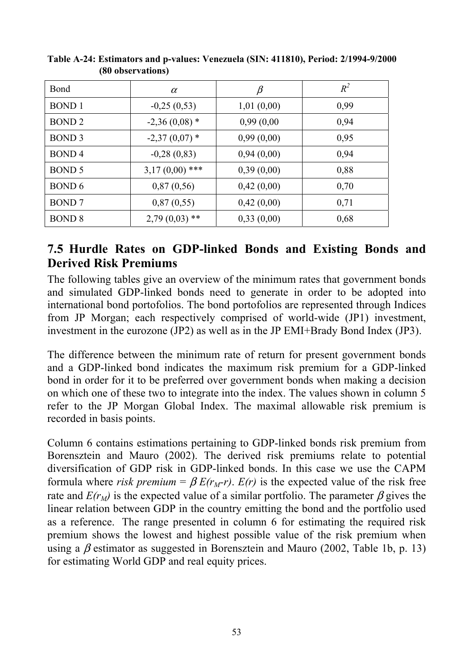| Bond              | $\alpha$         | β          | $R^2$ |
|-------------------|------------------|------------|-------|
| <b>BOND</b> 1     | $-0,25(0,53)$    | 1,01(0,00) | 0,99  |
| BOND <sub>2</sub> | $-2,36(0,08)$ *  | 0,99(0,00) | 0,94  |
| BOND <sub>3</sub> | $-2,37(0,07)$ *  | 0,99(0,00) | 0,95  |
| <b>BOND4</b>      | $-0,28(0,83)$    | 0,94(0,00) | 0,94  |
| BOND 5            | $3,17(0,00)$ *** | 0,39(0,00) | 0,88  |
| BOND 6            | 0,87(0,56)       | 0,42(0,00) | 0,70  |
| <b>BOND</b> 7     | 0,87(0,55)       | 0,42(0,00) | 0,71  |
| <b>BOND 8</b>     | $2,79(0,03)$ **  | 0,33(0,00) | 0,68  |

**Table A-24: Estimators and p-values: Venezuela (SIN: 411810), Period: 2/1994-9/2000 (80 observations)** 

### **7.5 Hurdle Rates on GDP-linked Bonds and Existing Bonds and Derived Risk Premiums**

The following tables give an overview of the minimum rates that government bonds and simulated GDP-linked bonds need to generate in order to be adopted into international bond portofolios. The bond portofolios are represented through Indices from JP Morgan; each respectively comprised of world-wide (JP1) investment, investment in the eurozone (JP2) as well as in the JP EMI+Brady Bond Index (JP3).

The difference between the minimum rate of return for present government bonds and a GDP-linked bond indicates the maximum risk premium for a GDP-linked bond in order for it to be preferred over government bonds when making a decision on which one of these two to integrate into the index. The values shown in column 5 refer to the JP Morgan Global Index. The maximal allowable risk premium is recorded in basis points.

Column 6 contains estimations pertaining to GDP-linked bonds risk premium from Borensztein and Mauro (2002). The derived risk premiums relate to potential diversification of GDP risk in GDP-linked bonds. In this case we use the CAPM formula where *risk premium* =  $\beta E(r_M-r)$ .  $E(r)$  is the expected value of the risk free rate and  $E(r_M)$  is the expected value of a similar portfolio. The parameter  $\beta$  gives the linear relation between GDP in the country emitting the bond and the portfolio used as a reference. The range presented in column 6 for estimating the required risk premium shows the lowest and highest possible value of the risk premium when using a  $\beta$  estimator as suggested in Borensztein and Mauro (2002, Table 1b, p. 13) for estimating World GDP and real equity prices.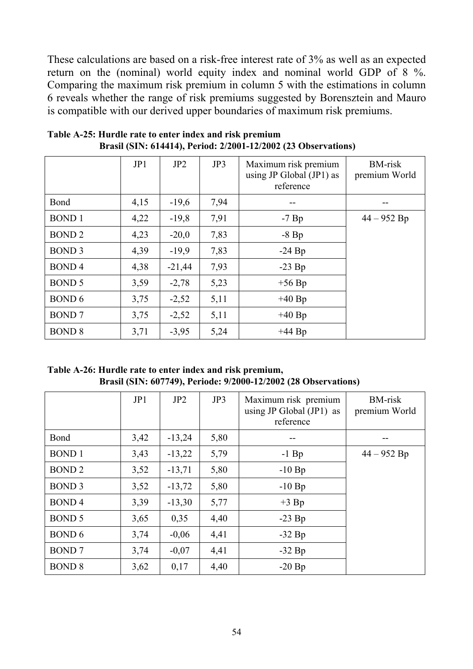These calculations are based on a risk-free interest rate of 3% as well as an expected return on the (nominal) world equity index and nominal world GDP of 8 %. Comparing the maximum risk premium in column 5 with the estimations in column 6 reveals whether the range of risk premiums suggested by Borensztein and Mauro is compatible with our derived upper boundaries of maximum risk premiums.

|               | JP1  | JP2      | JP3  | Maximum risk premium<br>using JP Global $(JP1)$ as<br>reference | <b>BM-risk</b><br>premium World |
|---------------|------|----------|------|-----------------------------------------------------------------|---------------------------------|
| Bond          | 4,15 | $-19,6$  | 7,94 |                                                                 |                                 |
| <b>BOND1</b>  | 4,22 | $-19,8$  | 7,91 | $-7$ Bp                                                         | $44 - 952$ Bp                   |
| <b>BOND2</b>  | 4,23 | $-20,0$  | 7,83 | $-8$ Bp                                                         |                                 |
| <b>BOND 3</b> | 4,39 | $-19,9$  | 7,83 | $-24$ Bp                                                        |                                 |
| <b>BOND4</b>  | 4,38 | $-21,44$ | 7,93 | $-23$ Bp                                                        |                                 |
| <b>BOND 5</b> | 3,59 | $-2,78$  | 5,23 | $+56$ Bp                                                        |                                 |
| <b>BOND 6</b> | 3,75 | $-2,52$  | 5,11 | $+40$ Bp                                                        |                                 |
| <b>BOND7</b>  | 3,75 | $-2,52$  | 5,11 | $+40 Bp$                                                        |                                 |
| <b>BOND 8</b> | 3,71 | $-3,95$  | 5,24 | $+44 Bp$                                                        |                                 |

**Table A-25: Hurdle rate to enter index and risk premium Brasil (SIN: 614414), Period: 2/2001-12/2002 (23 Observations)** 

**Table A-26: Hurdle rate to enter index and risk premium, Brasil (SIN: 607749), Periode: 9/2000-12/2002 (28 Observations)** 

|               | JP1  | JP <sub>2</sub> | JP3  | Maximum risk premium<br>using JP Global $(JP1)$ as<br>reference | <b>BM-risk</b><br>premium World |
|---------------|------|-----------------|------|-----------------------------------------------------------------|---------------------------------|
| Bond          | 3,42 | $-13,24$        | 5,80 |                                                                 |                                 |
| <b>BOND1</b>  | 3,43 | $-13,22$        | 5,79 | $-1$ Bp                                                         | $44 - 952$ Bp                   |
| <b>BOND2</b>  | 3,52 | $-13,71$        | 5,80 | $-10$ Bp                                                        |                                 |
| <b>BOND 3</b> | 3,52 | $-13,72$        | 5,80 | $-10$ Bp                                                        |                                 |
| <b>BOND4</b>  | 3,39 | $-13,30$        | 5,77 | $+3$ Bp                                                         |                                 |
| <b>BOND 5</b> | 3,65 | 0,35            | 4,40 | $-23$ Bp                                                        |                                 |
| <b>BOND 6</b> | 3,74 | $-0.06$         | 4,41 | $-32 Bp$                                                        |                                 |
| <b>BOND</b> 7 | 3,74 | $-0,07$         | 4,41 | $-32 Bp$                                                        |                                 |
| <b>BOND 8</b> | 3,62 | 0,17            | 4,40 | $-20$ Bp                                                        |                                 |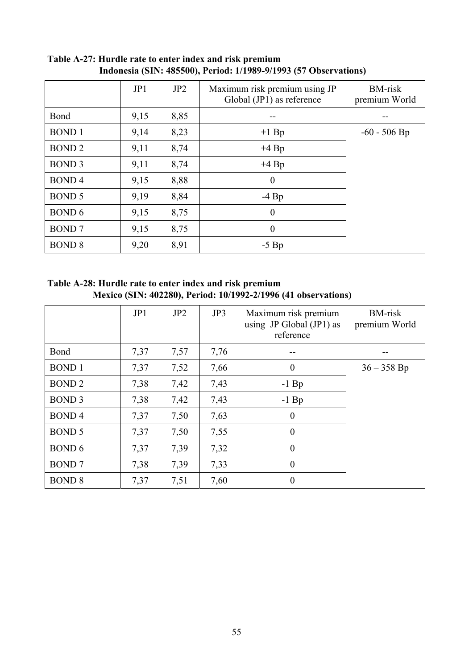|               | JP1  | JP <sub>2</sub> | Maximum risk premium using JP<br>Global $(JP1)$ as reference | <b>BM-risk</b><br>premium World |
|---------------|------|-----------------|--------------------------------------------------------------|---------------------------------|
| Bond          | 9,15 | 8,85            |                                                              |                                 |
| <b>BOND1</b>  | 9,14 | 8,23            | $+1$ Bp                                                      | $-60 - 506$ Bp                  |
| <b>BOND2</b>  | 9,11 | 8,74            | $+4$ Bp                                                      |                                 |
| <b>BOND 3</b> | 9,11 | 8,74            | $+4$ Bp                                                      |                                 |
| <b>BOND4</b>  | 9,15 | 8,88            | $\boldsymbol{0}$                                             |                                 |
| <b>BOND 5</b> | 9,19 | 8,84            | $-4$ Bp                                                      |                                 |
| <b>BOND 6</b> | 9,15 | 8,75            | $\theta$                                                     |                                 |
| <b>BOND</b> 7 | 9,15 | 8,75            | $\boldsymbol{0}$                                             |                                 |
| <b>BOND 8</b> | 9,20 | 8,91            | $-5$ Bp                                                      |                                 |

**Table A-27: Hurdle rate to enter index and risk premium Indonesia (SIN: 485500), Period: 1/1989-9/1993 (57 Observations)** 

**Table A-28: Hurdle rate to enter index and risk premium Mexico (SIN: 402280), Period: 10/1992-2/1996 (41 observations)** 

|               | JP1  | JP <sub>2</sub> | JP3  | Maximum risk premium<br>using JP Global $(JP1)$ as<br>reference | <b>BM-risk</b><br>premium World |
|---------------|------|-----------------|------|-----------------------------------------------------------------|---------------------------------|
| Bond          | 7,37 | 7,57            | 7,76 |                                                                 |                                 |
| <b>BOND1</b>  | 7,37 | 7,52            | 7,66 | $\boldsymbol{0}$                                                | $36 - 358$ Bp                   |
| <b>BOND2</b>  | 7,38 | 7,42            | 7,43 | $-1$ Bp                                                         |                                 |
| <b>BOND 3</b> | 7,38 | 7,42            | 7,43 | $-1$ Bp                                                         |                                 |
| <b>BOND4</b>  | 7,37 | 7,50            | 7,63 | $\theta$                                                        |                                 |
| <b>BOND 5</b> | 7,37 | 7,50            | 7,55 | $\theta$                                                        |                                 |
| <b>BOND 6</b> | 7,37 | 7,39            | 7,32 | $\theta$                                                        |                                 |
| <b>BOND</b> 7 | 7,38 | 7,39            | 7,33 | $\theta$                                                        |                                 |
| <b>BOND 8</b> | 7,37 | 7,51            | 7,60 | $\boldsymbol{0}$                                                |                                 |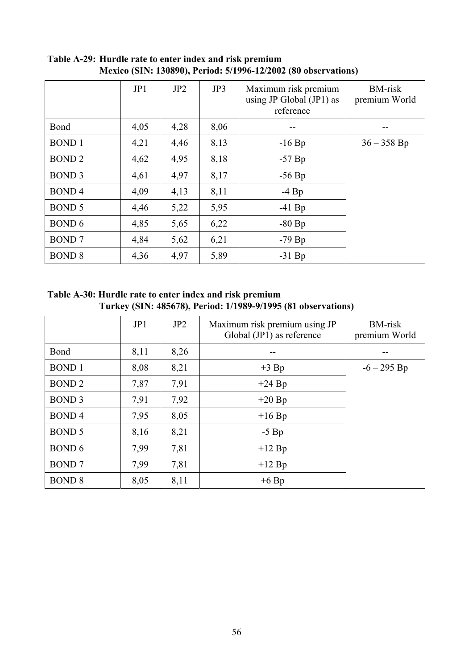|               | JP1  | JP2  | JP3  | Maximum risk premium<br>using JP Global $(JP1)$ as<br>reference | <b>BM-risk</b><br>premium World |
|---------------|------|------|------|-----------------------------------------------------------------|---------------------------------|
| Bond          | 4,05 | 4,28 | 8,06 |                                                                 |                                 |
| <b>BOND1</b>  | 4,21 | 4,46 | 8,13 | $-16$ Bp                                                        | $36 - 358$ Bp                   |
| <b>BOND2</b>  | 4,62 | 4,95 | 8,18 | $-57$ Bp                                                        |                                 |
| <b>BOND 3</b> | 4,61 | 4,97 | 8,17 | $-56$ Bp                                                        |                                 |
| <b>BOND4</b>  | 4,09 | 4,13 | 8,11 | $-4$ Bp                                                         |                                 |
| <b>BOND 5</b> | 4,46 | 5,22 | 5,95 | $-41$ Bp                                                        |                                 |
| <b>BOND 6</b> | 4,85 | 5,65 | 6,22 | $-80$ Bp                                                        |                                 |
| <b>BOND7</b>  | 4,84 | 5,62 | 6,21 | $-79$ Bp                                                        |                                 |
| <b>BOND 8</b> | 4,36 | 4,97 | 5,89 | $-31$ Bp                                                        |                                 |

**Table A-29: Hurdle rate to enter index and risk premium Mexico (SIN: 130890), Period: 5/1996-12/2002 (80 observations)** 

**Table A-30: Hurdle rate to enter index and risk premium Turkey (SIN: 485678), Period: 1/1989-9/1995 (81 observations)** 

|               | JP1  | JP2  | Maximum risk premium using JP<br>Global $(JP1)$ as reference | <b>BM-risk</b><br>premium World |
|---------------|------|------|--------------------------------------------------------------|---------------------------------|
| Bond          | 8,11 | 8,26 |                                                              |                                 |
| <b>BOND1</b>  | 8,08 | 8,21 | $+3$ Bp                                                      | $-6 - 295$ Bp                   |
| <b>BOND2</b>  | 7,87 | 7,91 | $+24$ Bp                                                     |                                 |
| <b>BOND 3</b> | 7,91 | 7,92 | $+20$ Bp                                                     |                                 |
| <b>BOND4</b>  | 7,95 | 8,05 | $+16$ Bp                                                     |                                 |
| <b>BOND 5</b> | 8,16 | 8,21 | $-5$ Bp                                                      |                                 |
| BOND 6        | 7,99 | 7,81 | $+12$ Bp                                                     |                                 |
| <b>BOND</b> 7 | 7,99 | 7,81 | $+12$ Bp                                                     |                                 |
| <b>BOND 8</b> | 8,05 | 8,11 | $+6$ Bp                                                      |                                 |